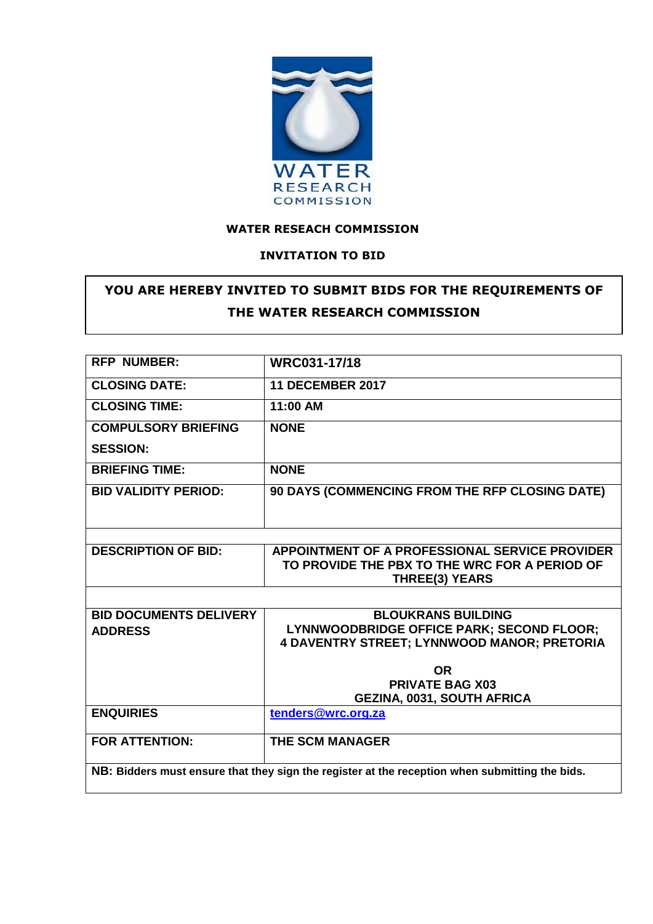

## **WATER RESEACH COMMISSION**

## **INVITATION TO BID**

# **YOU ARE HEREBY INVITED TO SUBMIT BIDS FOR THE REQUIREMENTS OF THE WATER RESEARCH COMMISSION**

| <b>RFP NUMBER:</b>                                                                             | WRC031-17/18                                   |  |  |  |  |
|------------------------------------------------------------------------------------------------|------------------------------------------------|--|--|--|--|
| <b>CLOSING DATE:</b>                                                                           | <b>11 DECEMBER 2017</b>                        |  |  |  |  |
| <b>CLOSING TIME:</b>                                                                           | 11:00 AM                                       |  |  |  |  |
| <b>COMPULSORY BRIEFING</b>                                                                     | <b>NONE</b>                                    |  |  |  |  |
| <b>SESSION:</b>                                                                                |                                                |  |  |  |  |
| <b>BRIEFING TIME:</b>                                                                          | <b>NONE</b>                                    |  |  |  |  |
| <b>BID VALIDITY PERIOD:</b>                                                                    | 90 DAYS (COMMENCING FROM THE RFP CLOSING DATE) |  |  |  |  |
|                                                                                                |                                                |  |  |  |  |
|                                                                                                |                                                |  |  |  |  |
| <b>DESCRIPTION OF BID:</b>                                                                     | APPOINTMENT OF A PROFESSIONAL SERVICE PROVIDER |  |  |  |  |
|                                                                                                | TO PROVIDE THE PBX TO THE WRC FOR A PERIOD OF  |  |  |  |  |
|                                                                                                | <b>THREE(3) YEARS</b>                          |  |  |  |  |
|                                                                                                |                                                |  |  |  |  |
| <b>BID DOCUMENTS DELIVERY</b>                                                                  | <b>BLOUKRANS BUILDING</b>                      |  |  |  |  |
| <b>ADDRESS</b>                                                                                 | LYNNWOODBRIDGE OFFICE PARK; SECOND FLOOR;      |  |  |  |  |
|                                                                                                | 4 DAVENTRY STREET; LYNNWOOD MANOR; PRETORIA    |  |  |  |  |
|                                                                                                |                                                |  |  |  |  |
|                                                                                                | <b>OR</b>                                      |  |  |  |  |
|                                                                                                | <b>PRIVATE BAG X03</b>                         |  |  |  |  |
|                                                                                                | <b>GEZINA, 0031, SOUTH AFRICA</b>              |  |  |  |  |
| <b>ENQUIRIES</b>                                                                               | tenders@wrc.org.za                             |  |  |  |  |
| <b>FOR ATTENTION:</b>                                                                          | <b>THE SCM MANAGER</b>                         |  |  |  |  |
|                                                                                                |                                                |  |  |  |  |
| NB: Bidders must ensure that they sign the register at the reception when submitting the bids. |                                                |  |  |  |  |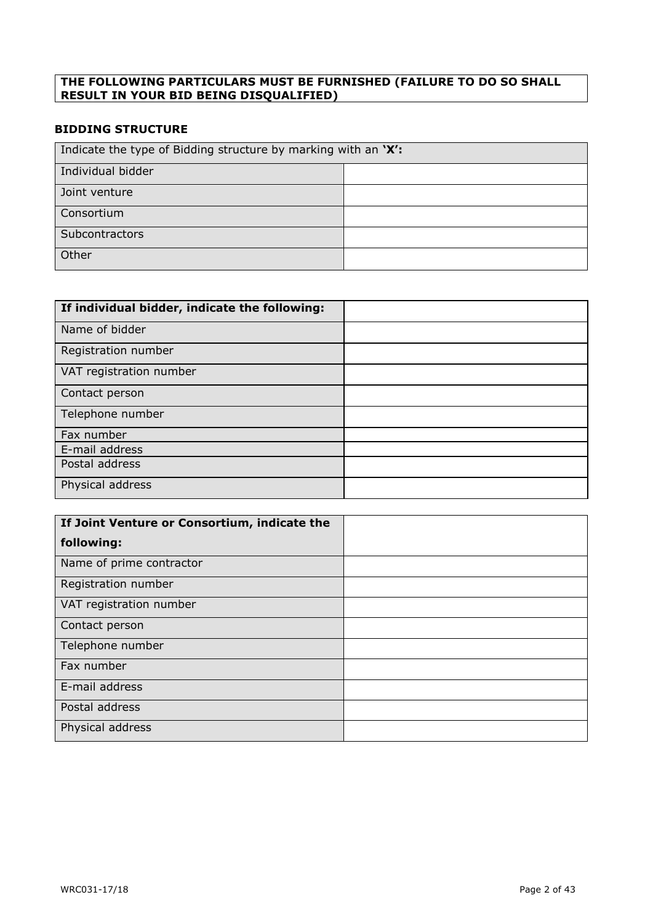### **THE FOLLOWING PARTICULARS MUST BE FURNISHED (FAILURE TO DO SO SHALL RESULT IN YOUR BID BEING DISQUALIFIED)**

## **BIDDING STRUCTURE**

| Indicate the type of Bidding structure by marking with an 'X': |  |  |  |  |
|----------------------------------------------------------------|--|--|--|--|
| Individual bidder                                              |  |  |  |  |
| Joint venture                                                  |  |  |  |  |
| Consortium                                                     |  |  |  |  |
| Subcontractors                                                 |  |  |  |  |
| Other                                                          |  |  |  |  |

| If individual bidder, indicate the following: |  |
|-----------------------------------------------|--|
| Name of bidder                                |  |
| Registration number                           |  |
| VAT registration number                       |  |
| Contact person                                |  |
| Telephone number                              |  |
| Fax number                                    |  |
| E-mail address                                |  |
| Postal address                                |  |
| Physical address                              |  |

| If Joint Venture or Consortium, indicate the |  |
|----------------------------------------------|--|
| following:                                   |  |
| Name of prime contractor                     |  |
| Registration number                          |  |
| VAT registration number                      |  |
| Contact person                               |  |
| Telephone number                             |  |
| Fax number                                   |  |
| E-mail address                               |  |
| Postal address                               |  |
| Physical address                             |  |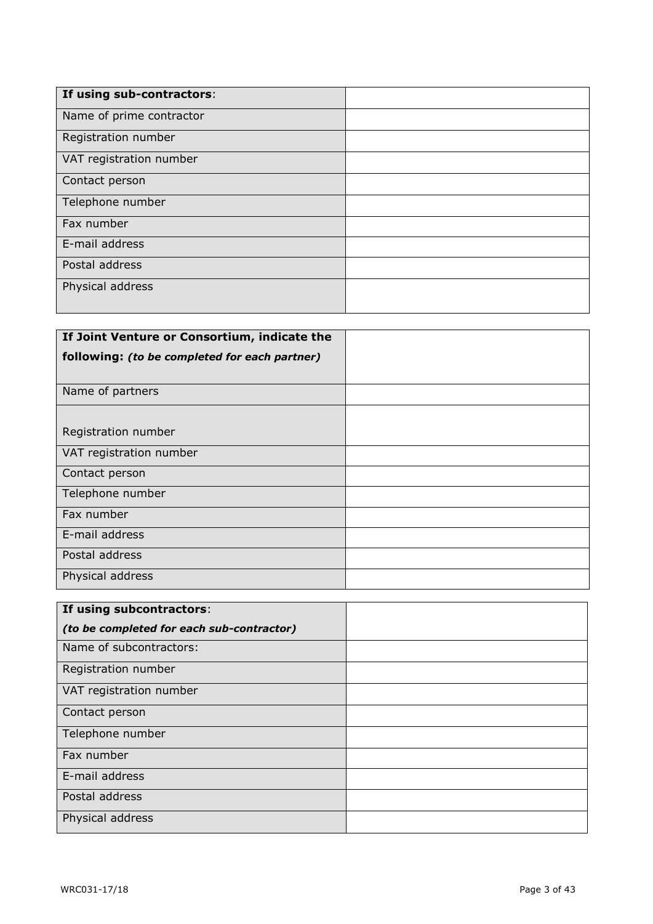| If using sub-contractors: |  |
|---------------------------|--|
| Name of prime contractor  |  |
| Registration number       |  |
| VAT registration number   |  |
| Contact person            |  |
| Telephone number          |  |
| Fax number                |  |
| E-mail address            |  |
| Postal address            |  |
| Physical address          |  |
|                           |  |

| If Joint Venture or Consortium, indicate the  |  |
|-----------------------------------------------|--|
| following: (to be completed for each partner) |  |
|                                               |  |
| Name of partners                              |  |
|                                               |  |
| Registration number                           |  |
| VAT registration number                       |  |
| Contact person                                |  |
| Telephone number                              |  |
| Fax number                                    |  |
| E-mail address                                |  |
| Postal address                                |  |
| Physical address                              |  |

| If using subcontractors:                  |  |
|-------------------------------------------|--|
| (to be completed for each sub-contractor) |  |
| Name of subcontractors:                   |  |
| Registration number                       |  |
| VAT registration number                   |  |
| Contact person                            |  |
| Telephone number                          |  |
| Fax number                                |  |
| E-mail address                            |  |
| Postal address                            |  |
| Physical address                          |  |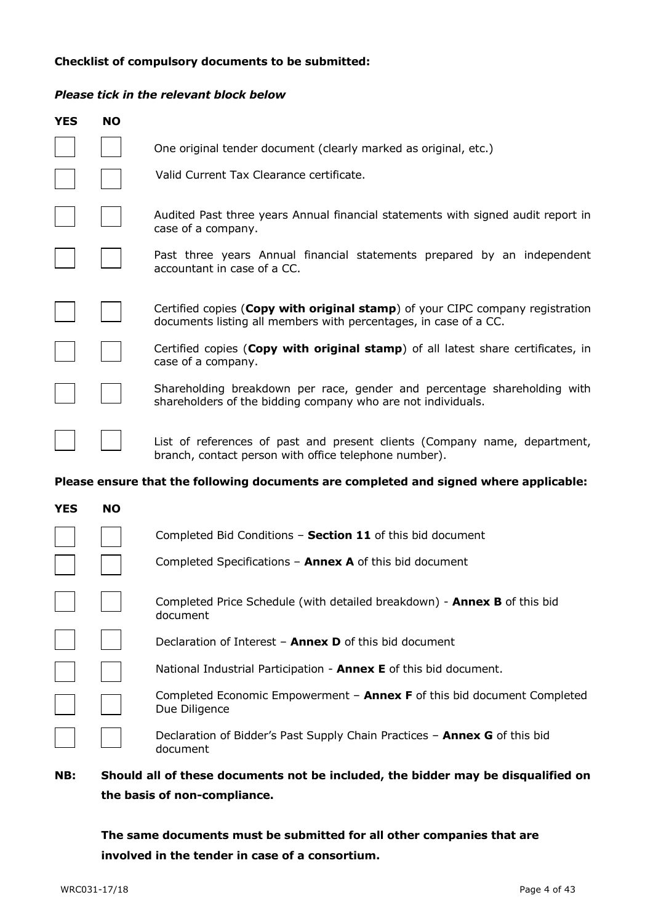#### **Checklist of compulsory documents to be submitted:**

#### *Please tick in the relevant block below*

| <b>YES</b> | <b>NO</b> |                                                                                                                                                   |
|------------|-----------|---------------------------------------------------------------------------------------------------------------------------------------------------|
|            |           | One original tender document (clearly marked as original, etc.)                                                                                   |
|            |           | Valid Current Tax Clearance certificate.                                                                                                          |
|            |           | Audited Past three years Annual financial statements with signed audit report in<br>case of a company.                                            |
|            |           | Past three years Annual financial statements prepared by an independent<br>accountant in case of a CC.                                            |
|            |           | Certified copies (Copy with original stamp) of your CIPC company registration<br>documents listing all members with percentages, in case of a CC. |
|            |           | Certified copies (Copy with original stamp) of all latest share certificates, in<br>case of a company.                                            |
|            |           | Shareholding breakdown per race, gender and percentage shareholding with<br>shareholders of the bidding company who are not individuals.          |
|            |           | List of references of past and present clients (Company name, department,<br>branch, contact person with office telephone number).                |
|            |           | Please ensure that the following documents are completed and signed where applicable:                                                             |
| <b>YES</b> | <b>NO</b> |                                                                                                                                                   |
|            |           | Completed Bid Conditions - Section 11 of this bid document                                                                                        |
|            |           | Completed Specifications $-$ Annex A of this bid document                                                                                         |

| Completed Price Schedule (with detailed breakdown) - Annex B of this bid |
|--------------------------------------------------------------------------|
| document                                                                 |

Declaration of Interest – **Annex D** of this bid document

|  |  |  |  | National Industrial Participation - <b>Annex E</b> of this bid document. |  |  |  |  |  |
|--|--|--|--|--------------------------------------------------------------------------|--|--|--|--|--|
|--|--|--|--|--------------------------------------------------------------------------|--|--|--|--|--|

Completed Economic Empowerment – **Annex F** of this bid document Completed Due Diligence

Declaration of Bidder's Past Supply Chain Practices – **Annex G** of this bid document

## **NB: Should all of these documents not be included, the bidder may be disqualified on the basis of non-compliance.**

**The same documents must be submitted for all other companies that are involved in the tender in case of a consortium.**

 $\Box$ 

 $\mathcal{L}^{\text{max}}$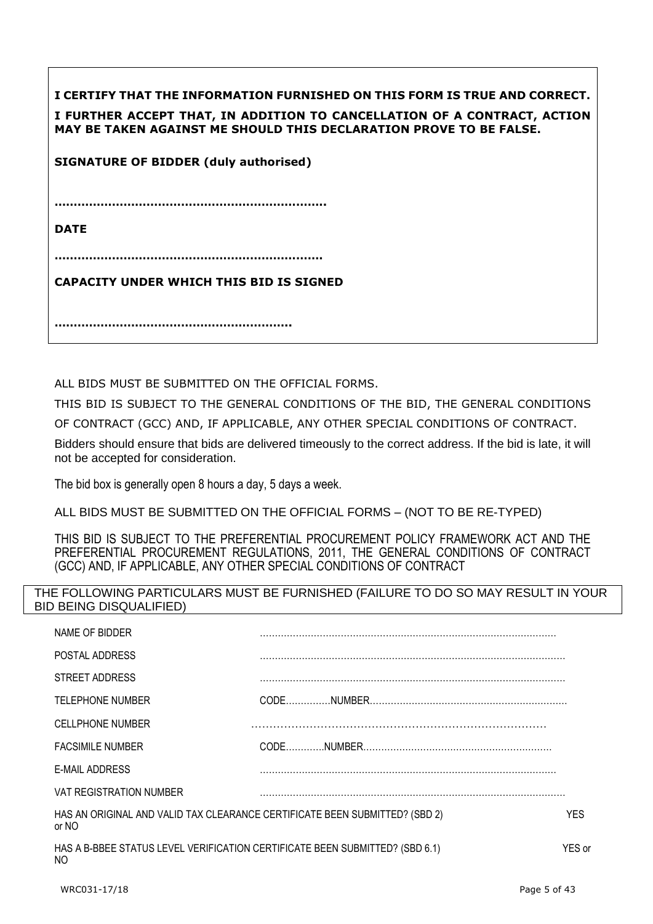| I CERTIFY THAT THE INFORMATION FURNISHED ON THIS FORM IS TRUE AND CORRECT.<br>I FURTHER ACCEPT THAT, IN ADDITION TO CANCELLATION OF A CONTRACT, ACTION<br>MAY BE TAKEN AGAINST ME SHOULD THIS DECLARATION PROVE TO BE FALSE. |
|------------------------------------------------------------------------------------------------------------------------------------------------------------------------------------------------------------------------------|
| <b>SIGNATURE OF BIDDER (duly authorised)</b>                                                                                                                                                                                 |
|                                                                                                                                                                                                                              |
| <b>DATE</b>                                                                                                                                                                                                                  |
|                                                                                                                                                                                                                              |
| <b>CAPACITY UNDER WHICH THIS BID IS SIGNED</b>                                                                                                                                                                               |
|                                                                                                                                                                                                                              |

ALL BIDS MUST BE SUBMITTED ON THE OFFICIAL FORMS.

THIS BID IS SUBJECT TO THE GENERAL CONDITIONS OF THE BID, THE GENERAL CONDITIONS OF CONTRACT (GCC) AND, IF APPLICABLE, ANY OTHER SPECIAL CONDITIONS OF CONTRACT.

Bidders should ensure that bids are delivered timeously to the correct address. If the bid is late, it will not be accepted for consideration.

The bid box is generally open 8 hours a day, 5 days a week.

ALL BIDS MUST BE SUBMITTED ON THE OFFICIAL FORMS – (NOT TO BE RE-TYPED)

THIS BID IS SUBJECT TO THE PREFERENTIAL PROCUREMENT POLICY FRAMEWORK ACT AND THE PREFERENTIAL PROCUREMENT REGULATIONS, 2011, THE GENERAL CONDITIONS OF CONTRACT (GCC) AND, IF APPLICABLE, ANY OTHER SPECIAL CONDITIONS OF CONTRACT

## THE FOLLOWING PARTICULARS MUST BE FURNISHED (FAILURE TO DO SO MAY RESULT IN YOUR BID BEING DISQUALIFIED)

| HAS AN ORIGINAL AND VALID TAX CLEARANCE CERTIFICATE BEEN SUBMITTED? (SBD 2)  | YES.   |
|------------------------------------------------------------------------------|--------|
| HAS A B-BBEE STATUS LEVEL VERIFICATION CERTIFICATE BEEN SUBMITTED? (SBD 6.1) | YES or |
|                                                                              |        |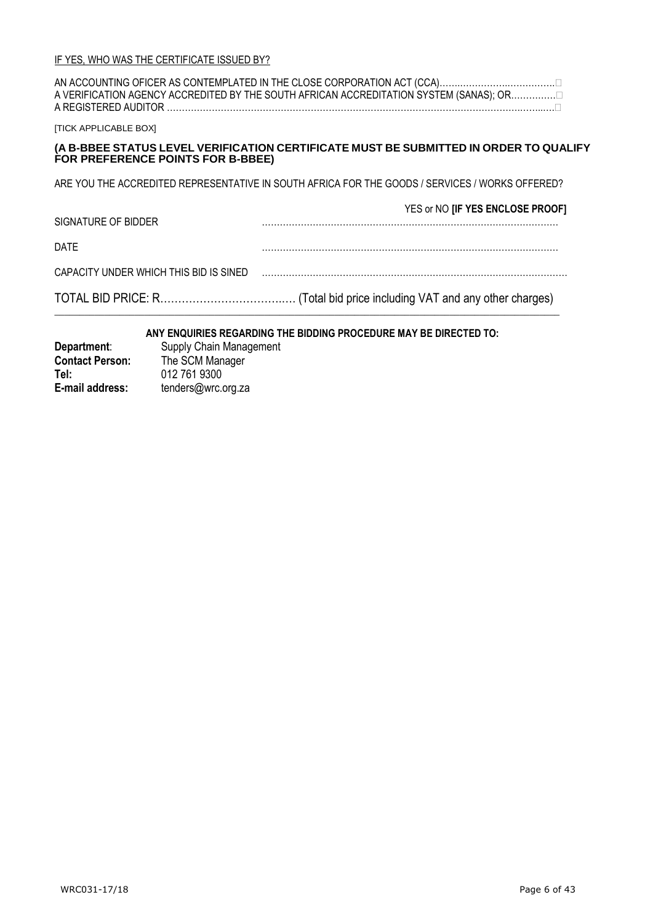| A REGISTERED AUDITOR.                  | A VERIFICATION AGENCY ACCREDITED BY THE SOUTH AFRICAN ACCREDITATION SYSTEM (SANAS); OR          |
|----------------------------------------|-------------------------------------------------------------------------------------------------|
| <b>ITICK APPLICABLE BOXI</b>           |                                                                                                 |
| FOR PREFERENCE POINTS FOR B-BBEE)      | (A B-BBEE STATUS LEVEL VERIFICATION CERTIFICATE MUST BE SUBMITTED IN ORDER TO QUALIFY           |
|                                        | ARE YOU THE ACCREDITED REPRESENTATIVE IN SOUTH AFRICA FOR THE GOODS / SERVICES / WORKS OFFERED? |
| SIGNATURE OF BIDDER                    | YES or NO [IF YES ENCLOSE PROOF]                                                                |
| DATE                                   |                                                                                                 |
| CAPACITY UNDER WHICH THIS BID IS SINED |                                                                                                 |
|                                        |                                                                                                 |

## **ANY ENQUIRIES REGARDING THE BIDDING PROCEDURE MAY BE DIRECTED TO:**

 $\_$  , and the set of the set of the set of the set of the set of the set of the set of the set of the set of the set of the set of the set of the set of the set of the set of the set of the set of the set of the set of th

| Department:            | Supply Chain Management |
|------------------------|-------------------------|
| <b>Contact Person:</b> | The SCM Manager         |
| Tel:                   | 012 761 9300            |
| E-mail address:        | tenders@wrc.org.za      |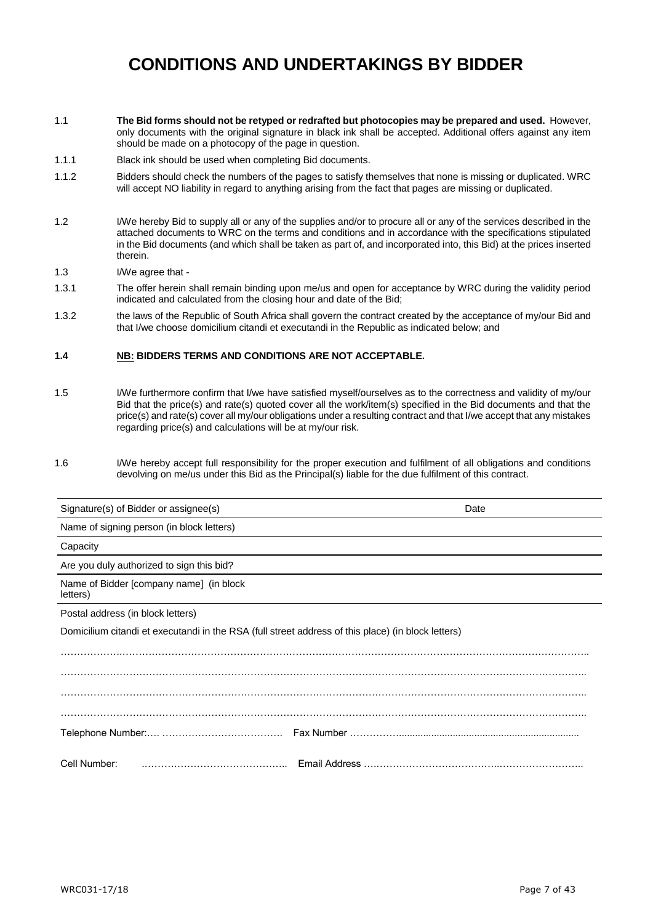# **CONDITIONS AND UNDERTAKINGS BY BIDDER**

- 1.1 **The Bid forms should not be retyped or redrafted but photocopies may be prepared and used.** However, only documents with the original signature in black ink shall be accepted. Additional offers against any item should be made on a photocopy of the page in question.
- 1.1.1 Black ink should be used when completing Bid documents.
- 1.1.2 Bidders should check the numbers of the pages to satisfy themselves that none is missing or duplicated. WRC will accept NO liability in regard to anything arising from the fact that pages are missing or duplicated.
- 1.2 I/We hereby Bid to supply all or any of the supplies and/or to procure all or any of the services described in the attached documents to WRC on the terms and conditions and in accordance with the specifications stipulated in the Bid documents (and which shall be taken as part of, and incorporated into, this Bid) at the prices inserted therein.
- 1.3 I/We agree that -
- 1.3.1 The offer herein shall remain binding upon me/us and open for acceptance by WRC during the validity period indicated and calculated from the closing hour and date of the Bid;
- 1.3.2 the laws of the Republic of South Africa shall govern the contract created by the acceptance of my/our Bid and that I/we choose domicilium citandi et executandi in the Republic as indicated below; and

#### **1.4 NB: BIDDERS TERMS AND CONDITIONS ARE NOT ACCEPTABLE.**

- 1.5 I/We furthermore confirm that I/we have satisfied myself/ourselves as to the correctness and validity of my/our Bid that the price(s) and rate(s) quoted cover all the work/item(s) specified in the Bid documents and that the price(s) and rate(s) cover all my/our obligations under a resulting contract and that I/we accept that any mistakes regarding price(s) and calculations will be at my/our risk.
- 1.6 I/We hereby accept full responsibility for the proper execution and fulfilment of all obligations and conditions devolving on me/us under this Bid as the Principal(s) liable for the due fulfilment of this contract.

| Signature(s) of Bidder or assignee(s)                                                              | Date |
|----------------------------------------------------------------------------------------------------|------|
| Name of signing person (in block letters)                                                          |      |
| Capacity                                                                                           |      |
| Are you duly authorized to sign this bid?                                                          |      |
| Name of Bidder [company name] (in block<br>letters)                                                |      |
| Postal address (in block letters)                                                                  |      |
| Domicilium citandi et executandi in the RSA (full street address of this place) (in block letters) |      |
|                                                                                                    |      |
|                                                                                                    |      |
|                                                                                                    |      |
|                                                                                                    |      |
|                                                                                                    |      |
| Cell Number:                                                                                       |      |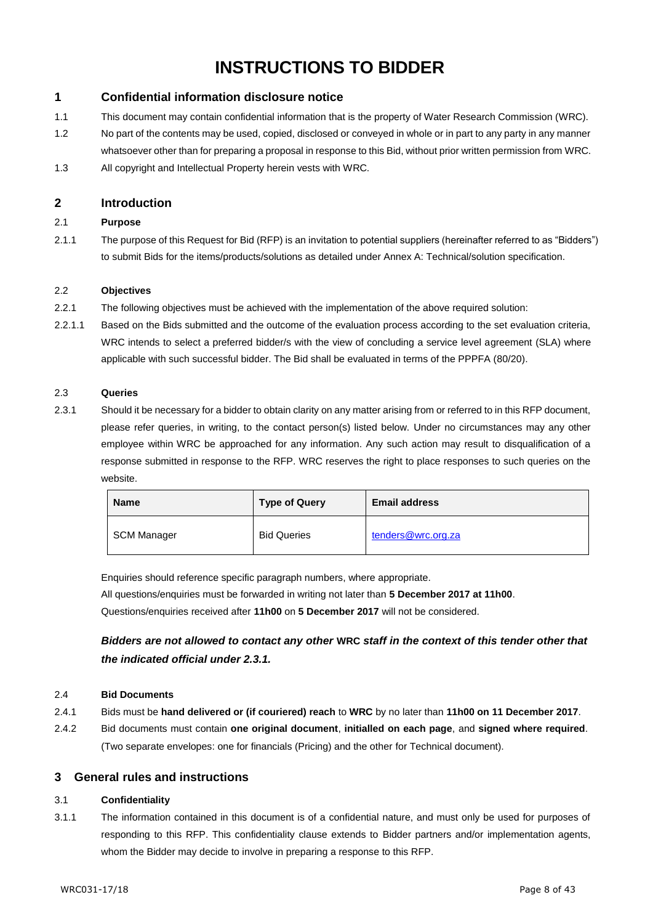# **INSTRUCTIONS TO BIDDER**

## **1 Confidential information disclosure notice**

- 1.1 This document may contain confidential information that is the property of Water Research Commission (WRC).
- 1.2 No part of the contents may be used, copied, disclosed or conveyed in whole or in part to any party in any manner whatsoever other than for preparing a proposal in response to this Bid, without prior written permission from WRC.
- 1.3 All copyright and Intellectual Property herein vests with WRC.

#### **2 Introduction**

#### 2.1 **Purpose**

2.1.1 The purpose of this Request for Bid (RFP) is an invitation to potential suppliers (hereinafter referred to as "Bidders") to submit Bids for the items/products/solutions as detailed under Annex A: Technical/solution specification.

#### 2.2 **Objectives**

- 2.2.1 The following objectives must be achieved with the implementation of the above required solution:
- 2.2.1.1 Based on the Bids submitted and the outcome of the evaluation process according to the set evaluation criteria, WRC intends to select a preferred bidder/s with the view of concluding a service level agreement (SLA) where applicable with such successful bidder. The Bid shall be evaluated in terms of the PPPFA (80/20).

#### 2.3 **Queries**

2.3.1 Should it be necessary for a bidder to obtain clarity on any matter arising from or referred to in this RFP document, please refer queries, in writing, to the contact person(s) listed below. Under no circumstances may any other employee within WRC be approached for any information. Any such action may result to disqualification of a response submitted in response to the RFP. WRC reserves the right to place responses to such queries on the website.

| <b>Name</b> | <b>Type of Query</b> | <b>Email address</b> |
|-------------|----------------------|----------------------|
| SCM Manager | <b>Bid Queries</b>   | tenders@wrc.org.za   |

Enquiries should reference specific paragraph numbers, where appropriate.

All questions/enquiries must be forwarded in writing not later than **5 December 2017 at 11h00**. Questions/enquiries received after **11h00** on **5 December 2017** will not be considered.

*Bidders are not allowed to contact any other* **WRC** *staff in the context of this tender other that the indicated official under 2.3.1.*

#### 2.4 **Bid Documents**

- 2.4.1 Bids must be **hand delivered or (if couriered) reach** to **WRC** by no later than **11h00 on 11 December 2017**.
- 2.4.2 Bid documents must contain **one original document**, **initialled on each page**, and **signed where required**. (Two separate envelopes: one for financials (Pricing) and the other for Technical document).

#### **3 General rules and instructions**

#### 3.1 **Confidentiality**

3.1.1 The information contained in this document is of a confidential nature, and must only be used for purposes of responding to this RFP. This confidentiality clause extends to Bidder partners and/or implementation agents, whom the Bidder may decide to involve in preparing a response to this RFP.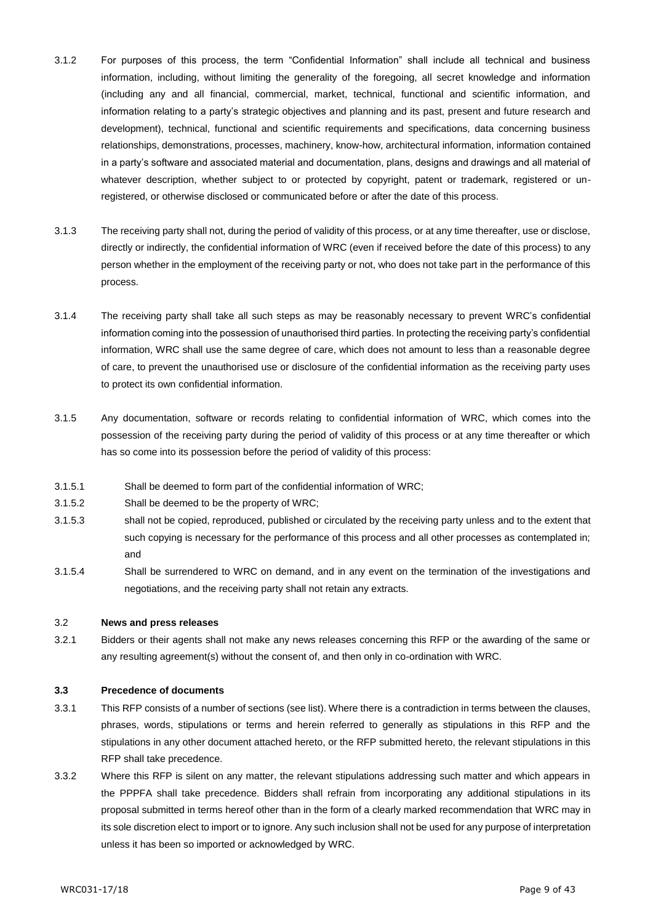- 3.1.2 For purposes of this process, the term "Confidential Information" shall include all technical and business information, including, without limiting the generality of the foregoing, all secret knowledge and information (including any and all financial, commercial, market, technical, functional and scientific information, and information relating to a party's strategic objectives and planning and its past, present and future research and development), technical, functional and scientific requirements and specifications, data concerning business relationships, demonstrations, processes, machinery, know-how, architectural information, information contained in a party's software and associated material and documentation, plans, designs and drawings and all material of whatever description, whether subject to or protected by copyright, patent or trademark, registered or unregistered, or otherwise disclosed or communicated before or after the date of this process.
- 3.1.3 The receiving party shall not, during the period of validity of this process, or at any time thereafter, use or disclose, directly or indirectly, the confidential information of WRC (even if received before the date of this process) to any person whether in the employment of the receiving party or not, who does not take part in the performance of this process.
- 3.1.4 The receiving party shall take all such steps as may be reasonably necessary to prevent WRC's confidential information coming into the possession of unauthorised third parties. In protecting the receiving party's confidential information, WRC shall use the same degree of care, which does not amount to less than a reasonable degree of care, to prevent the unauthorised use or disclosure of the confidential information as the receiving party uses to protect its own confidential information.
- 3.1.5 Any documentation, software or records relating to confidential information of WRC, which comes into the possession of the receiving party during the period of validity of this process or at any time thereafter or which has so come into its possession before the period of validity of this process:
- 3.1.5.1 Shall be deemed to form part of the confidential information of WRC;
- 3.1.5.2 Shall be deemed to be the property of WRC;
- 3.1.5.3 shall not be copied, reproduced, published or circulated by the receiving party unless and to the extent that such copying is necessary for the performance of this process and all other processes as contemplated in; and
- 3.1.5.4 Shall be surrendered to WRC on demand, and in any event on the termination of the investigations and negotiations, and the receiving party shall not retain any extracts.

#### 3.2 **News and press releases**

3.2.1 Bidders or their agents shall not make any news releases concerning this RFP or the awarding of the same or any resulting agreement(s) without the consent of, and then only in co-ordination with WRC.

#### **3.3 Precedence of documents**

- 3.3.1 This RFP consists of a number of sections (see list). Where there is a contradiction in terms between the clauses, phrases, words, stipulations or terms and herein referred to generally as stipulations in this RFP and the stipulations in any other document attached hereto, or the RFP submitted hereto, the relevant stipulations in this RFP shall take precedence.
- 3.3.2 Where this RFP is silent on any matter, the relevant stipulations addressing such matter and which appears in the PPPFA shall take precedence. Bidders shall refrain from incorporating any additional stipulations in its proposal submitted in terms hereof other than in the form of a clearly marked recommendation that WRC may in its sole discretion elect to import or to ignore. Any such inclusion shall not be used for any purpose of interpretation unless it has been so imported or acknowledged by WRC.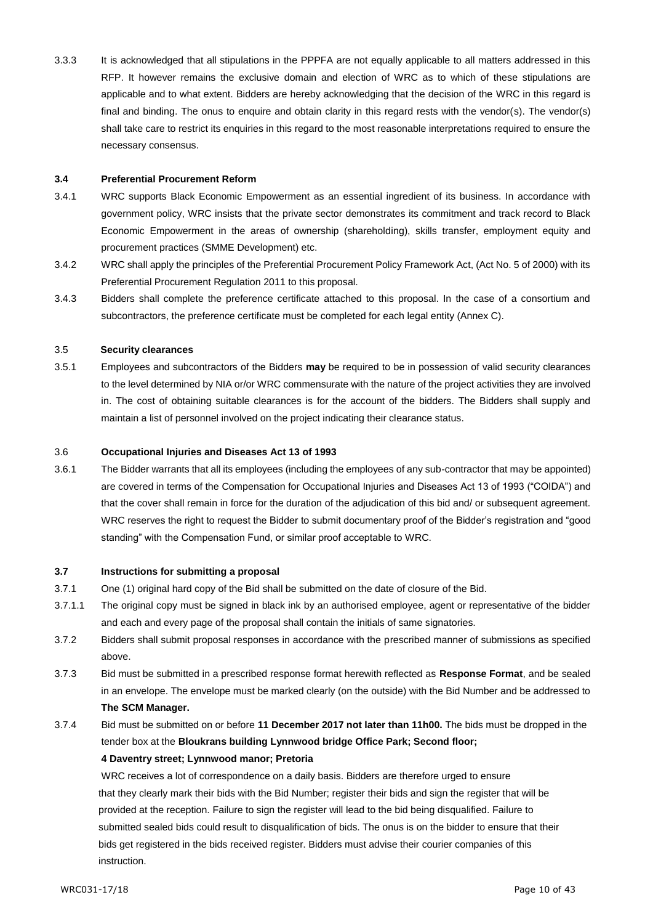3.3.3 It is acknowledged that all stipulations in the PPPFA are not equally applicable to all matters addressed in this RFP. It however remains the exclusive domain and election of WRC as to which of these stipulations are applicable and to what extent. Bidders are hereby acknowledging that the decision of the WRC in this regard is final and binding. The onus to enquire and obtain clarity in this regard rests with the vendor(s). The vendor(s) shall take care to restrict its enquiries in this regard to the most reasonable interpretations required to ensure the necessary consensus.

#### **3.4 Preferential Procurement Reform**

- 3.4.1 WRC supports Black Economic Empowerment as an essential ingredient of its business. In accordance with government policy, WRC insists that the private sector demonstrates its commitment and track record to Black Economic Empowerment in the areas of ownership (shareholding), skills transfer, employment equity and procurement practices (SMME Development) etc.
- 3.4.2 WRC shall apply the principles of the Preferential Procurement Policy Framework Act, (Act No. 5 of 2000) with its Preferential Procurement Regulation 2011 to this proposal.
- 3.4.3 Bidders shall complete the preference certificate attached to this proposal. In the case of a consortium and subcontractors, the preference certificate must be completed for each legal entity (Annex C).

#### 3.5 **Security clearances**

3.5.1 Employees and subcontractors of the Bidders **may** be required to be in possession of valid security clearances to the level determined by NIA or/or WRC commensurate with the nature of the project activities they are involved in. The cost of obtaining suitable clearances is for the account of the bidders. The Bidders shall supply and maintain a list of personnel involved on the project indicating their clearance status.

#### 3.6 **Occupational Injuries and Diseases Act 13 of 1993**

3.6.1 The Bidder warrants that all its employees (including the employees of any sub-contractor that may be appointed) are covered in terms of the Compensation for Occupational Injuries and Diseases Act 13 of 1993 ("COIDA") and that the cover shall remain in force for the duration of the adjudication of this bid and/ or subsequent agreement. WRC reserves the right to request the Bidder to submit documentary proof of the Bidder's registration and "good standing" with the Compensation Fund, or similar proof acceptable to WRC.

#### **3.7 Instructions for submitting a proposal**

- 3.7.1 One (1) original hard copy of the Bid shall be submitted on the date of closure of the Bid.
- 3.7.1.1 The original copy must be signed in black ink by an authorised employee, agent or representative of the bidder and each and every page of the proposal shall contain the initials of same signatories.
- 3.7.2 Bidders shall submit proposal responses in accordance with the prescribed manner of submissions as specified above.
- 3.7.3 Bid must be submitted in a prescribed response format herewith reflected as **Response Format**, and be sealed in an envelope. The envelope must be marked clearly (on the outside) with the Bid Number and be addressed to **The SCM Manager.**
- 3.7.4 Bid must be submitted on or before **11 December 2017 not later than 11h00.** The bids must be dropped in the tender box at the **Bloukrans building Lynnwood bridge Office Park; Second floor;**

#### **4 Daventry street; Lynnwood manor; Pretoria**

WRC receives a lot of correspondence on a daily basis. Bidders are therefore urged to ensure that they clearly mark their bids with the Bid Number; register their bids and sign the register that will be provided at the reception. Failure to sign the register will lead to the bid being disqualified. Failure to submitted sealed bids could result to disqualification of bids. The onus is on the bidder to ensure that their bids get registered in the bids received register. Bidders must advise their courier companies of this instruction.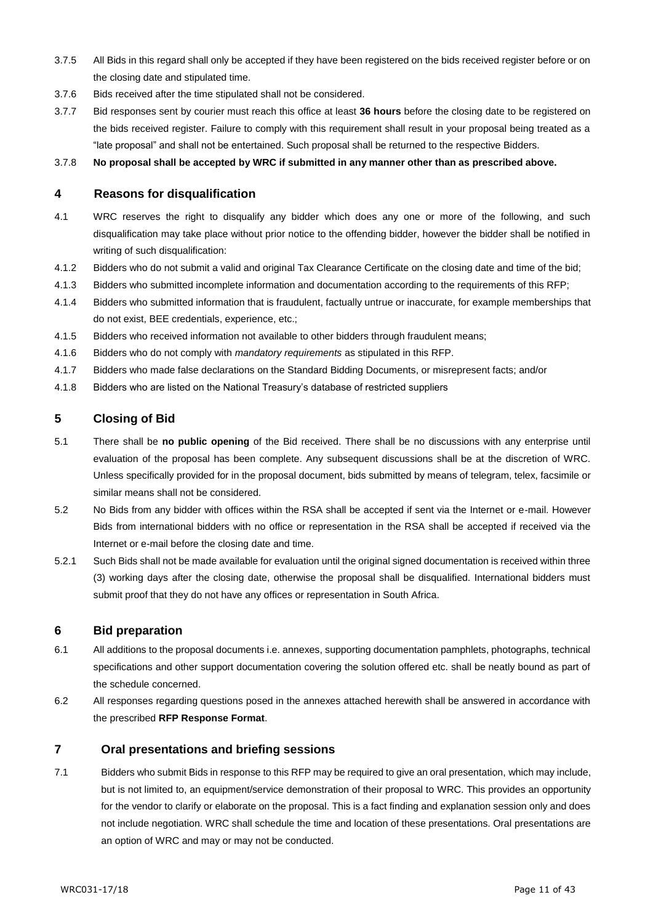- 3.7.5 All Bids in this regard shall only be accepted if they have been registered on the bids received register before or on the closing date and stipulated time.
- 3.7.6 Bids received after the time stipulated shall not be considered.
- 3.7.7 Bid responses sent by courier must reach this office at least **36 hours** before the closing date to be registered on the bids received register. Failure to comply with this requirement shall result in your proposal being treated as a "late proposal" and shall not be entertained. Such proposal shall be returned to the respective Bidders.

3.7.8 **No proposal shall be accepted by WRC if submitted in any manner other than as prescribed above.**

#### **4 Reasons for disqualification**

- 4.1 WRC reserves the right to disqualify any bidder which does any one or more of the following, and such disqualification may take place without prior notice to the offending bidder, however the bidder shall be notified in writing of such disqualification:
- 4.1.2 Bidders who do not submit a valid and original Tax Clearance Certificate on the closing date and time of the bid;
- 4.1.3 Bidders who submitted incomplete information and documentation according to the requirements of this RFP;
- 4.1.4 Bidders who submitted information that is fraudulent, factually untrue or inaccurate, for example memberships that do not exist, BEE credentials, experience, etc.;
- 4.1.5 Bidders who received information not available to other bidders through fraudulent means;
- 4.1.6 Bidders who do not comply with *mandatory requirements* as stipulated in this RFP.
- 4.1.7 Bidders who made false declarations on the Standard Bidding Documents, or misrepresent facts; and/or
- 4.1.8 Bidders who are listed on the National Treasury's database of restricted suppliers

#### **5 Closing of Bid**

- 5.1 There shall be **no public opening** of the Bid received. There shall be no discussions with any enterprise until evaluation of the proposal has been complete. Any subsequent discussions shall be at the discretion of WRC. Unless specifically provided for in the proposal document, bids submitted by means of telegram, telex, facsimile or similar means shall not be considered.
- 5.2 No Bids from any bidder with offices within the RSA shall be accepted if sent via the Internet or e-mail. However Bids from international bidders with no office or representation in the RSA shall be accepted if received via the Internet or e-mail before the closing date and time.
- 5.2.1 Such Bids shall not be made available for evaluation until the original signed documentation is received within three (3) working days after the closing date, otherwise the proposal shall be disqualified. International bidders must submit proof that they do not have any offices or representation in South Africa.

#### **6 Bid preparation**

- 6.1 All additions to the proposal documents i.e. annexes, supporting documentation pamphlets, photographs, technical specifications and other support documentation covering the solution offered etc. shall be neatly bound as part of the schedule concerned.
- 6.2 All responses regarding questions posed in the annexes attached herewith shall be answered in accordance with the prescribed **RFP Response Format**.

#### **7 Oral presentations and briefing sessions**

7.1 Bidders who submit Bids in response to this RFP may be required to give an oral presentation, which may include, but is not limited to, an equipment/service demonstration of their proposal to WRC. This provides an opportunity for the vendor to clarify or elaborate on the proposal. This is a fact finding and explanation session only and does not include negotiation. WRC shall schedule the time and location of these presentations. Oral presentations are an option of WRC and may or may not be conducted.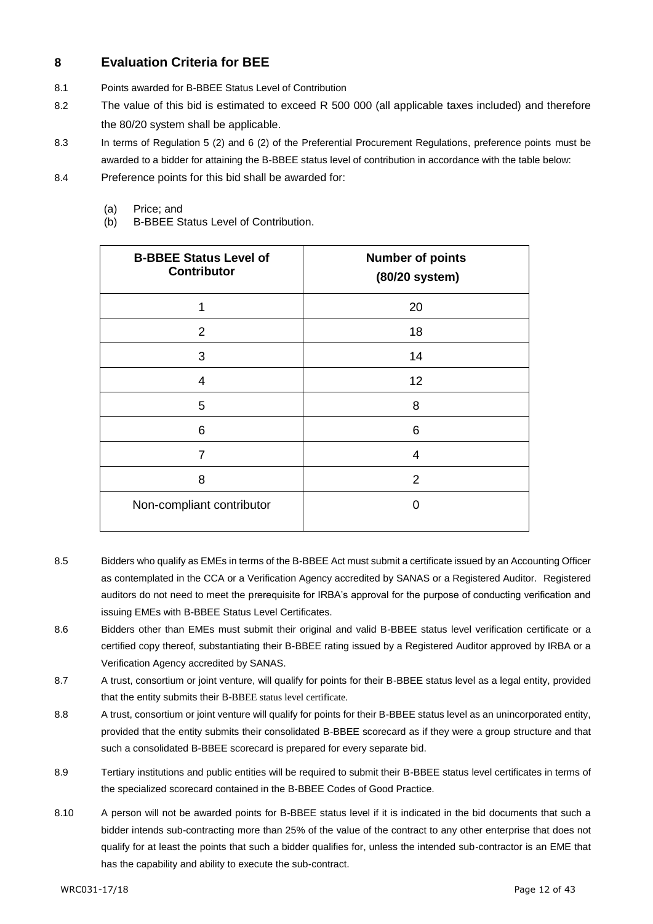## **8 Evaluation Criteria for BEE**

- 8.1 Points awarded for B-BBEE Status Level of Contribution
- 8.2 The value of this bid is estimated to exceed R 500 000 (all applicable taxes included) and therefore the 80/20 system shall be applicable.
- 8.3 In terms of Regulation 5 (2) and 6 (2) of the Preferential Procurement Regulations, preference points must be awarded to a bidder for attaining the B-BBEE status level of contribution in accordance with the table below:
- 8.4 Preference points for this bid shall be awarded for:
	- (a) Price; and
	- (b) B-BBEE Status Level of Contribution.

| <b>B-BBEE Status Level of</b><br><b>Contributor</b> | <b>Number of points</b><br>(80/20 system) |
|-----------------------------------------------------|-------------------------------------------|
| 1                                                   | 20                                        |
| 2                                                   | 18                                        |
| 3                                                   | 14                                        |
| $\overline{4}$                                      | 12                                        |
| 5                                                   | 8                                         |
| 6                                                   | 6                                         |
| 7                                                   | 4                                         |
| 8                                                   | 2                                         |
| Non-compliant contributor                           | O                                         |

- 8.5 Bidders who qualify as EMEs in terms of the B-BBEE Act must submit a certificate issued by an Accounting Officer as contemplated in the CCA or a Verification Agency accredited by SANAS or a Registered Auditor. Registered auditors do not need to meet the prerequisite for IRBA's approval for the purpose of conducting verification and issuing EMEs with B-BBEE Status Level Certificates.
- 8.6 Bidders other than EMEs must submit their original and valid B-BBEE status level verification certificate or a certified copy thereof, substantiating their B-BBEE rating issued by a Registered Auditor approved by IRBA or a Verification Agency accredited by SANAS.
- 8.7 A trust, consortium or joint venture, will qualify for points for their B-BBEE status level as a legal entity, provided that the entity submits their B-BBEE status level certificate.
- 8.8 A trust, consortium or joint venture will qualify for points for their B-BBEE status level as an unincorporated entity, provided that the entity submits their consolidated B-BBEE scorecard as if they were a group structure and that such a consolidated B-BBEE scorecard is prepared for every separate bid.
- 8.9 Tertiary institutions and public entities will be required to submit their B-BBEE status level certificates in terms of the specialized scorecard contained in the B-BBEE Codes of Good Practice.
- 8.10 A person will not be awarded points for B-BBEE status level if it is indicated in the bid documents that such a bidder intends sub-contracting more than 25% of the value of the contract to any other enterprise that does not qualify for at least the points that such a bidder qualifies for, unless the intended sub-contractor is an EME that has the capability and ability to execute the sub-contract.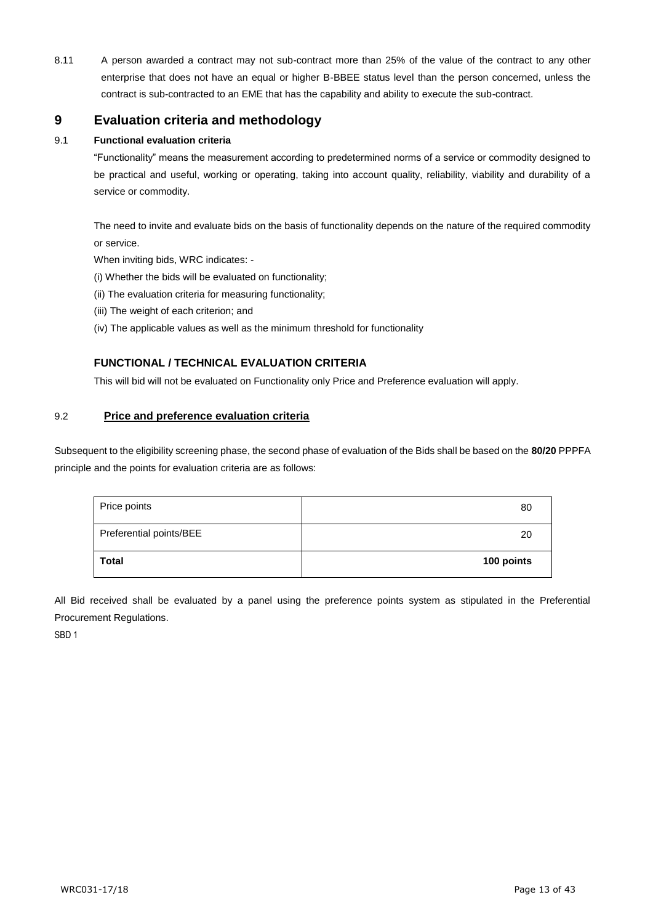8.11 A person awarded a contract may not sub-contract more than 25% of the value of the contract to any other enterprise that does not have an equal or higher B-BBEE status level than the person concerned, unless the contract is sub-contracted to an EME that has the capability and ability to execute the sub-contract.

## **9 Evaluation criteria and methodology**

#### 9.1 **Functional evaluation criteria**

"Functionality" means the measurement according to predetermined norms of a service or commodity designed to be practical and useful, working or operating, taking into account quality, reliability, viability and durability of a service or commodity.

The need to invite and evaluate bids on the basis of functionality depends on the nature of the required commodity or service.

When inviting bids, WRC indicates: -

- (i) Whether the bids will be evaluated on functionality;
- (ii) The evaluation criteria for measuring functionality;
- (iii) The weight of each criterion; and
- (iv) The applicable values as well as the minimum threshold for functionality

## **FUNCTIONAL / TECHNICAL EVALUATION CRITERIA**

This will bid will not be evaluated on Functionality only Price and Preference evaluation will apply.

#### 9.2 **Price and preference evaluation criteria**

Subsequent to the eligibility screening phase, the second phase of evaluation of the Bids shall be based on the **80/20** PPPFA principle and the points for evaluation criteria are as follows:

| Price points            | 80         |
|-------------------------|------------|
| Preferential points/BEE | 20         |
| <b>Total</b>            | 100 points |

All Bid received shall be evaluated by a panel using the preference points system as stipulated in the Preferential Procurement Regulations.

SBD 1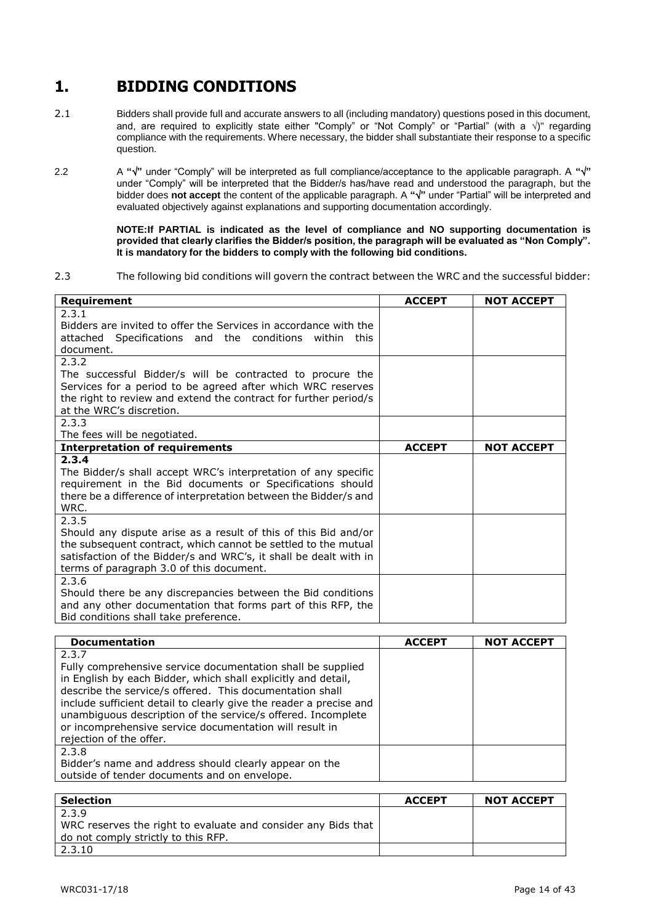# **1. BIDDING CONDITIONS**

- 2.1 Bidders shall provide full and accurate answers to all (including mandatory) questions posed in this document, and, are required to explicitly state either "Comply" or "Not Comply" or "Partial" (with a  $\sqrt{$ )" regarding compliance with the requirements. Where necessary, the bidder shall substantiate their response to a specific question.
- 2.2 A " $\sqrt{$ " under "Comply" will be interpreted as full compliance/acceptance to the applicable paragraph. A " $\sqrt{$ " under "Comply" will be interpreted that the Bidder/s has/have read and understood the paragraph, but the bidder does **not accept** the content of the applicable paragraph. A **""** under "Partial" will be interpreted and evaluated objectively against explanations and supporting documentation accordingly.

**NOTE:If PARTIAL is indicated as the level of compliance and NO supporting documentation is provided that clearly clarifies the Bidder/s position, the paragraph will be evaluated as "Non Comply". It is mandatory for the bidders to comply with the following bid conditions.**

2.3 The following bid conditions will govern the contract between the WRC and the successful bidder:

| Requirement                                                       | <b>ACCEPT</b> | <b>NOT ACCEPT</b> |
|-------------------------------------------------------------------|---------------|-------------------|
| 2.3.1                                                             |               |                   |
| Bidders are invited to offer the Services in accordance with the  |               |                   |
| attached Specifications and the conditions<br>within<br>this      |               |                   |
| document.                                                         |               |                   |
| 2.3.2                                                             |               |                   |
| The successful Bidder/s will be contracted to procure the         |               |                   |
| Services for a period to be agreed after which WRC reserves       |               |                   |
| the right to review and extend the contract for further period/s  |               |                   |
| at the WRC's discretion.                                          |               |                   |
| 2.3.3                                                             |               |                   |
| The fees will be negotiated.                                      |               |                   |
| <b>Interpretation of requirements</b>                             | <b>ACCEPT</b> | <b>NOT ACCEPT</b> |
| 2.3.4                                                             |               |                   |
| The Bidder/s shall accept WRC's interpretation of any specific    |               |                   |
| requirement in the Bid documents or Specifications should         |               |                   |
| there be a difference of interpretation between the Bidder/s and  |               |                   |
| WRC.                                                              |               |                   |
| 2.3.5                                                             |               |                   |
| Should any dispute arise as a result of this of this Bid and/or   |               |                   |
| the subsequent contract, which cannot be settled to the mutual    |               |                   |
| satisfaction of the Bidder/s and WRC's, it shall be dealt with in |               |                   |
| terms of paragraph 3.0 of this document.                          |               |                   |
| 2.3.6                                                             |               |                   |
| Should there be any discrepancies between the Bid conditions      |               |                   |
| and any other documentation that forms part of this RFP, the      |               |                   |
| Bid conditions shall take preference.                             |               |                   |

| <b>Documentation</b>                                                                                                                                                                                                                                                                                                                                                                                                          | <b>ACCEPT</b> | <b>NOT ACCEPT</b> |
|-------------------------------------------------------------------------------------------------------------------------------------------------------------------------------------------------------------------------------------------------------------------------------------------------------------------------------------------------------------------------------------------------------------------------------|---------------|-------------------|
| 2.3.7<br>Fully comprehensive service documentation shall be supplied<br>in English by each Bidder, which shall explicitly and detail,<br>describe the service/s offered. This documentation shall<br>include sufficient detail to clearly give the reader a precise and<br>unambiguous description of the service/s offered. Incomplete<br>or incomprehensive service documentation will result in<br>rejection of the offer. |               |                   |
| 2.3.8<br>Bidder's name and address should clearly appear on the<br>outside of tender documents and on envelope.                                                                                                                                                                                                                                                                                                               |               |                   |

| <b>Selection</b>                                              | <b>ACCEPT</b> | <b>NOT ACCEPT</b> |
|---------------------------------------------------------------|---------------|-------------------|
| 2.3.9                                                         |               |                   |
| WRC reserves the right to evaluate and consider any Bids that |               |                   |
| do not comply strictly to this RFP.                           |               |                   |
| 2.3.10                                                        |               |                   |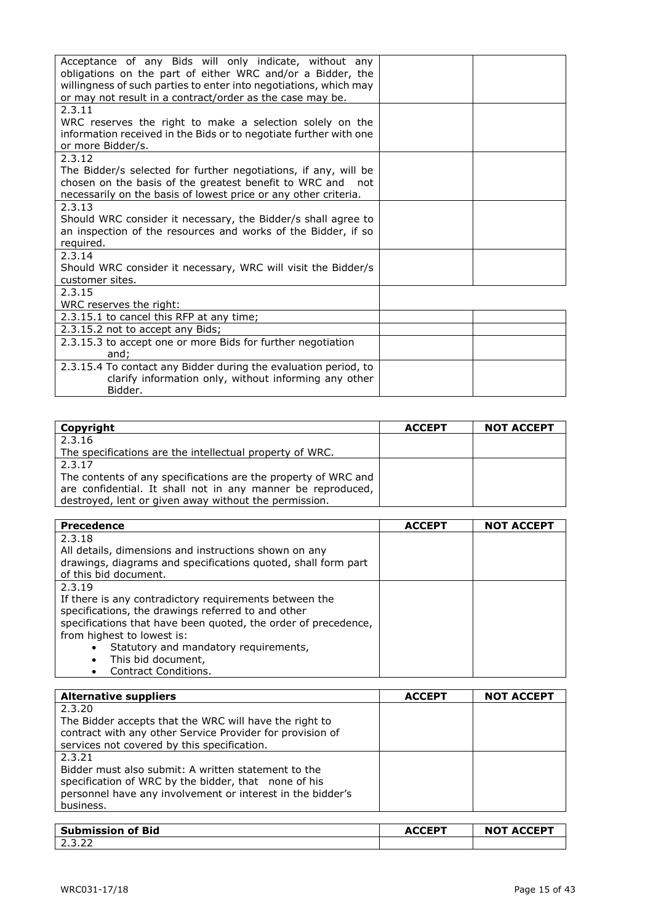| Acceptance of any Bids will only indicate, without any<br>obligations on the part of either WRC and/or a Bidder, the |  |
|----------------------------------------------------------------------------------------------------------------------|--|
| willingness of such parties to enter into negotiations, which may                                                    |  |
| or may not result in a contract/order as the case may be.                                                            |  |
| 2.3.11                                                                                                               |  |
| WRC reserves the right to make a selection solely on the                                                             |  |
| information received in the Bids or to negotiate further with one                                                    |  |
| or more Bidder/s.                                                                                                    |  |
| 2.3.12                                                                                                               |  |
| The Bidder/s selected for further negotiations, if any, will be                                                      |  |
| chosen on the basis of the greatest benefit to WRC and not                                                           |  |
| necessarily on the basis of lowest price or any other criteria.                                                      |  |
| 2.3.13                                                                                                               |  |
| Should WRC consider it necessary, the Bidder/s shall agree to                                                        |  |
| an inspection of the resources and works of the Bidder, if so                                                        |  |
| required.                                                                                                            |  |
| 2.3.14                                                                                                               |  |
| Should WRC consider it necessary, WRC will visit the Bidder/s                                                        |  |
| customer sites.                                                                                                      |  |
| 2.3.15                                                                                                               |  |
| WRC reserves the right:                                                                                              |  |
| 2.3.15.1 to cancel this RFP at any time;                                                                             |  |
| 2.3.15.2 not to accept any Bids;                                                                                     |  |
| 2.3.15.3 to accept one or more Bids for further negotiation                                                          |  |
| and:                                                                                                                 |  |
| 2.3.15.4 To contact any Bidder during the evaluation period, to                                                      |  |
| clarify information only, without informing any other                                                                |  |
| Bidder.                                                                                                              |  |

| Copyright                                                      | <b>ACCEPT</b> | <b>NOT ACCEPT</b> |
|----------------------------------------------------------------|---------------|-------------------|
| 2.3.16                                                         |               |                   |
| The specifications are the intellectual property of WRC.       |               |                   |
| 2.3.17                                                         |               |                   |
| The contents of any specifications are the property of WRC and |               |                   |
| are confidential. It shall not in any manner be reproduced,    |               |                   |
| destroyed, lent or given away without the permission.          |               |                   |

| <b>Precedence</b>                                              | <b>ACCEPT</b> | <b>NOT ACCEPT</b> |
|----------------------------------------------------------------|---------------|-------------------|
| 2.3.18                                                         |               |                   |
| All details, dimensions and instructions shown on any          |               |                   |
| drawings, diagrams and specifications quoted, shall form part  |               |                   |
| of this bid document.                                          |               |                   |
| 2.3.19                                                         |               |                   |
| If there is any contradictory requirements between the         |               |                   |
| specifications, the drawings referred to and other             |               |                   |
| specifications that have been quoted, the order of precedence, |               |                   |
| from highest to lowest is:                                     |               |                   |
| Statutory and mandatory requirements,<br>$\bullet$             |               |                   |
| This bid document,<br>$\bullet$                                |               |                   |
| Contract Conditions.<br>$\bullet$                              |               |                   |

| <b>Alternative suppliers</b>                               | <b>ACCEPT</b> | <b>NOT ACCEPT</b> |
|------------------------------------------------------------|---------------|-------------------|
| 2.3.20                                                     |               |                   |
| The Bidder accepts that the WRC will have the right to     |               |                   |
| contract with any other Service Provider for provision of  |               |                   |
| services not covered by this specification.                |               |                   |
| 2.3.21                                                     |               |                   |
| Bidder must also submit: A written statement to the        |               |                   |
| specification of WRC by the bidder, that none of his       |               |                   |
| personnel have any involvement or interest in the bidder's |               |                   |
| business.                                                  |               |                   |
|                                                            |               |                   |

| Submission of Bid | ACCED <sup>T</sup><br>AU. | <b>NOT ACCEPT</b> |
|-------------------|---------------------------|-------------------|
| ے ۔ ۔ ۔ ۔         |                           |                   |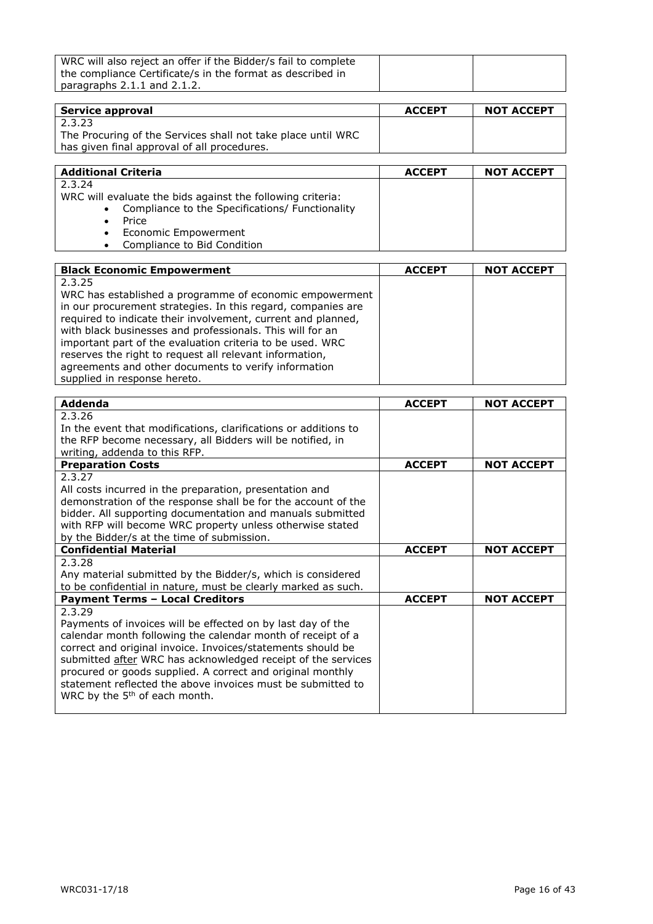| WRC will also reject an offer if the Bidder/s fail to complete |  |
|----------------------------------------------------------------|--|
| the compliance Certificate/s in the format as described in     |  |
| paragraphs $2.1.1$ and $2.1.2$ .                               |  |

| Service approval                                             | <b>ACCEPT</b> | <b>NOT ACCEPT</b> |
|--------------------------------------------------------------|---------------|-------------------|
| 2.3.23                                                       |               |                   |
| The Procuring of the Services shall not take place until WRC |               |                   |
| has given final approval of all procedures.                  |               |                   |

| <b>Additional Criteria</b>                                 | <b>ACCEPT</b> | <b>NOT ACCEPT</b> |
|------------------------------------------------------------|---------------|-------------------|
| 2.3.24                                                     |               |                   |
| WRC will evaluate the bids against the following criteria: |               |                   |
| • Compliance to the Specifications/ Functionality          |               |                   |
| Price                                                      |               |                   |
| • Economic Empowerment                                     |               |                   |
| Compliance to Bid Condition<br>$\bullet$                   |               |                   |

| <b>Black Economic Empowerment</b>                            | <b>ACCEPT</b> | <b>NOT ACCEPT</b> |
|--------------------------------------------------------------|---------------|-------------------|
| 2.3.25                                                       |               |                   |
| WRC has established a programme of economic empowerment      |               |                   |
| in our procurement strategies. In this regard, companies are |               |                   |
| required to indicate their involvement, current and planned, |               |                   |
| with black businesses and professionals. This will for an    |               |                   |
| important part of the evaluation criteria to be used. WRC    |               |                   |
| reserves the right to request all relevant information,      |               |                   |
| agreements and other documents to verify information         |               |                   |
| supplied in response hereto.                                 |               |                   |

| <b>Addenda</b>                                                  | <b>ACCEPT</b> | <b>NOT ACCEPT</b> |
|-----------------------------------------------------------------|---------------|-------------------|
| 2.3.26                                                          |               |                   |
| In the event that modifications, clarifications or additions to |               |                   |
| the RFP become necessary, all Bidders will be notified, in      |               |                   |
| writing, addenda to this RFP.                                   |               |                   |
| <b>Preparation Costs</b>                                        | <b>ACCEPT</b> | <b>NOT ACCEPT</b> |
| 2.3.27                                                          |               |                   |
| All costs incurred in the preparation, presentation and         |               |                   |
| demonstration of the response shall be for the account of the   |               |                   |
| bidder. All supporting documentation and manuals submitted      |               |                   |
| with RFP will become WRC property unless otherwise stated       |               |                   |
| by the Bidder/s at the time of submission.                      |               |                   |
| <b>Confidential Material</b>                                    | <b>ACCEPT</b> | <b>NOT ACCEPT</b> |
| 2.3.28                                                          |               |                   |
| Any material submitted by the Bidder/s, which is considered     |               |                   |
| to be confidential in nature, must be clearly marked as such.   |               |                   |
| <b>Payment Terms - Local Creditors</b>                          | <b>ACCEPT</b> | <b>NOT ACCEPT</b> |
| 2.3.29                                                          |               |                   |
| Payments of invoices will be effected on by last day of the     |               |                   |
| calendar month following the calendar month of receipt of a     |               |                   |
| correct and original invoice. Invoices/statements should be     |               |                   |
| submitted after WRC has acknowledged receipt of the services    |               |                   |
| procured or goods supplied. A correct and original monthly      |               |                   |
| statement reflected the above invoices must be submitted to     |               |                   |
| WRC by the 5 <sup>th</sup> of each month.                       |               |                   |
|                                                                 |               |                   |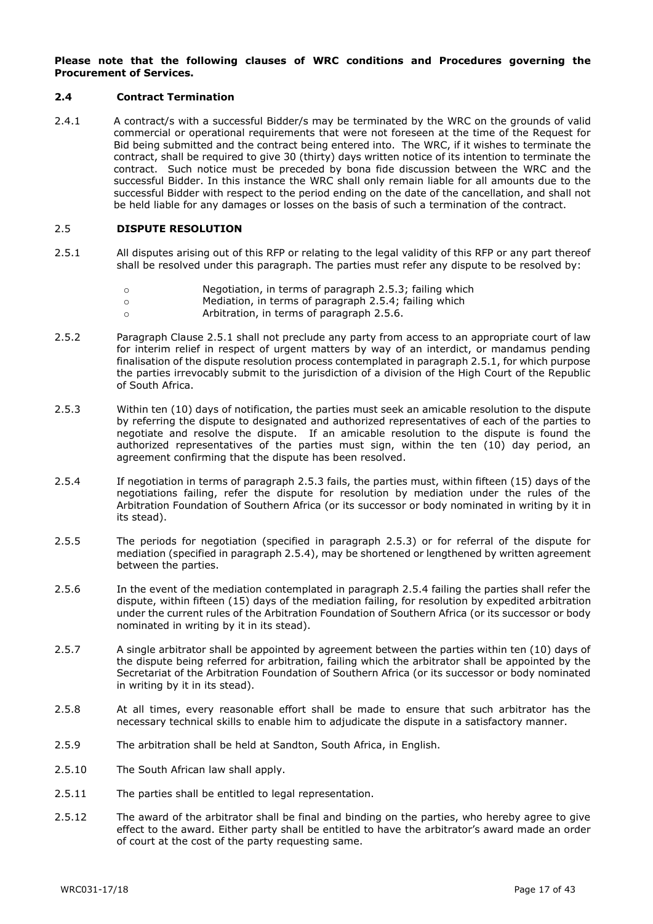#### **Please note that the following clauses of WRC conditions and Procedures governing the Procurement of Services.**

#### **2.4 Contract Termination**

2.4.1 A contract/s with a successful Bidder/s may be terminated by the WRC on the grounds of valid commercial or operational requirements that were not foreseen at the time of the Request for Bid being submitted and the contract being entered into. The WRC, if it wishes to terminate the contract, shall be required to give 30 (thirty) days written notice of its intention to terminate the contract. Such notice must be preceded by bona fide discussion between the WRC and the successful Bidder. In this instance the WRC shall only remain liable for all amounts due to the successful Bidder with respect to the period ending on the date of the cancellation, and shall not be held liable for any damages or losses on the basis of such a termination of the contract.

#### 2.5 **DISPUTE RESOLUTION**

- 2.5.1 All disputes arising out of this RFP or relating to the legal validity of this RFP or any part thereof shall be resolved under this paragraph. The parties must refer any dispute to be resolved by:
	- o Negotiation, in terms of paragraph 2.5.3; failing which
	- o Mediation, in terms of paragraph 2.5.4; failing which
	- o Arbitration, in terms of paragraph 2.5.6.
- 2.5.2 Paragraph Clause 2.5.1 shall not preclude any party from access to an appropriate court of law for interim relief in respect of urgent matters by way of an interdict, or mandamus pending finalisation of the dispute resolution process contemplated in paragraph 2.5.1, for which purpose the parties irrevocably submit to the jurisdiction of a division of the High Court of the Republic of South Africa.
- 2.5.3 Within ten (10) days of notification, the parties must seek an amicable resolution to the dispute by referring the dispute to designated and authorized representatives of each of the parties to negotiate and resolve the dispute. If an amicable resolution to the dispute is found the authorized representatives of the parties must sign, within the ten (10) day period, an agreement confirming that the dispute has been resolved.
- 2.5.4 If negotiation in terms of paragraph 2.5.3 fails, the parties must, within fifteen (15) days of the negotiations failing, refer the dispute for resolution by mediation under the rules of the Arbitration Foundation of Southern Africa (or its successor or body nominated in writing by it in its stead).
- 2.5.5 The periods for negotiation (specified in paragraph 2.5.3) or for referral of the dispute for mediation (specified in paragraph 2.5.4), may be shortened or lengthened by written agreement between the parties.
- 2.5.6 In the event of the mediation contemplated in paragraph 2.5.4 failing the parties shall refer the dispute, within fifteen (15) days of the mediation failing, for resolution by expedited arbitration under the current rules of the Arbitration Foundation of Southern Africa (or its successor or body nominated in writing by it in its stead).
- 2.5.7 A single arbitrator shall be appointed by agreement between the parties within ten (10) days of the dispute being referred for arbitration, failing which the arbitrator shall be appointed by the Secretariat of the Arbitration Foundation of Southern Africa (or its successor or body nominated in writing by it in its stead).
- 2.5.8 At all times, every reasonable effort shall be made to ensure that such arbitrator has the necessary technical skills to enable him to adjudicate the dispute in a satisfactory manner.
- 2.5.9 The arbitration shall be held at Sandton, South Africa, in English.
- 2.5.10 The South African law shall apply.
- 2.5.11 The parties shall be entitled to legal representation.
- 2.5.12 The award of the arbitrator shall be final and binding on the parties, who hereby agree to give effect to the award. Either party shall be entitled to have the arbitrator's award made an order of court at the cost of the party requesting same.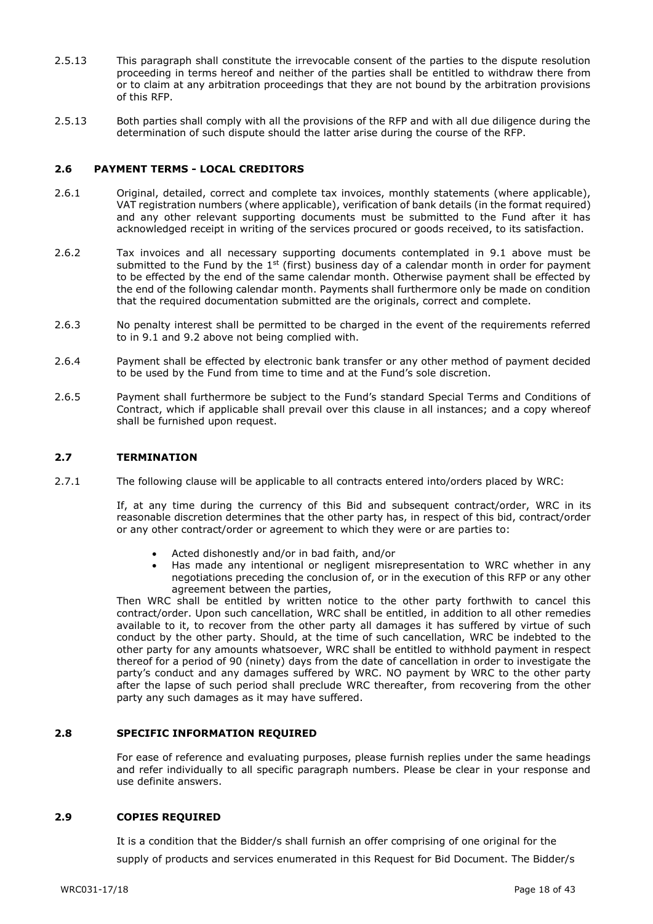- 2.5.13 This paragraph shall constitute the irrevocable consent of the parties to the dispute resolution proceeding in terms hereof and neither of the parties shall be entitled to withdraw there from or to claim at any arbitration proceedings that they are not bound by the arbitration provisions of this RFP.
- 2.5.13 Both parties shall comply with all the provisions of the RFP and with all due diligence during the determination of such dispute should the latter arise during the course of the RFP.

#### **2.6 PAYMENT TERMS - LOCAL CREDITORS**

- 2.6.1 Original, detailed, correct and complete tax invoices, monthly statements (where applicable), VAT registration numbers (where applicable), verification of bank details (in the format required) and any other relevant supporting documents must be submitted to the Fund after it has acknowledged receipt in writing of the services procured or goods received, to its satisfaction.
- 2.6.2 Tax invoices and all necessary supporting documents contemplated in 9.1 above must be submitted to the Fund by the  $1^{st}$  (first) business day of a calendar month in order for payment to be effected by the end of the same calendar month. Otherwise payment shall be effected by the end of the following calendar month. Payments shall furthermore only be made on condition that the required documentation submitted are the originals, correct and complete.
- 2.6.3 No penalty interest shall be permitted to be charged in the event of the requirements referred to in 9.1 and 9.2 above not being complied with.
- 2.6.4 Payment shall be effected by electronic bank transfer or any other method of payment decided to be used by the Fund from time to time and at the Fund's sole discretion.
- 2.6.5 Payment shall furthermore be subject to the Fund's standard Special Terms and Conditions of Contract, which if applicable shall prevail over this clause in all instances; and a copy whereof shall be furnished upon request.

#### **2.7 TERMINATION**

2.7.1 The following clause will be applicable to all contracts entered into/orders placed by WRC:

If, at any time during the currency of this Bid and subsequent contract/order, WRC in its reasonable discretion determines that the other party has, in respect of this bid, contract/order or any other contract/order or agreement to which they were or are parties to:

- Acted dishonestly and/or in bad faith, and/or
- Has made any intentional or negligent misrepresentation to WRC whether in any negotiations preceding the conclusion of, or in the execution of this RFP or any other agreement between the parties,

Then WRC shall be entitled by written notice to the other party forthwith to cancel this contract/order. Upon such cancellation, WRC shall be entitled, in addition to all other remedies available to it, to recover from the other party all damages it has suffered by virtue of such conduct by the other party. Should, at the time of such cancellation, WRC be indebted to the other party for any amounts whatsoever, WRC shall be entitled to withhold payment in respect thereof for a period of 90 (ninety) days from the date of cancellation in order to investigate the party's conduct and any damages suffered by WRC. NO payment by WRC to the other party after the lapse of such period shall preclude WRC thereafter, from recovering from the other party any such damages as it may have suffered.

#### **2.8 SPECIFIC INFORMATION REQUIRED**

For ease of reference and evaluating purposes, please furnish replies under the same headings and refer individually to all specific paragraph numbers. Please be clear in your response and use definite answers.

#### **2.9 COPIES REQUIRED**

It is a condition that the Bidder/s shall furnish an offer comprising of one original for the supply of products and services enumerated in this Request for Bid Document. The Bidder/s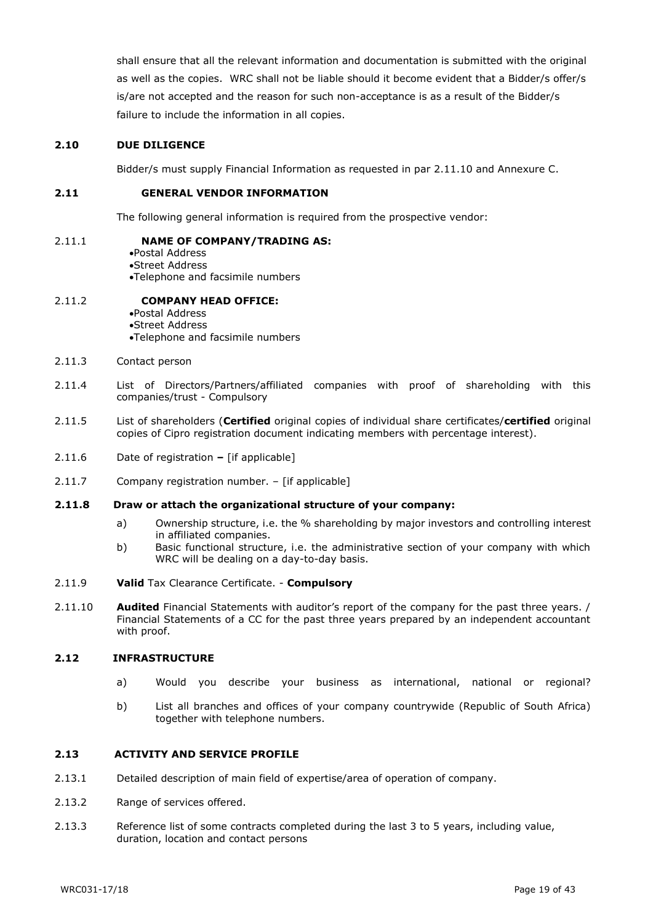shall ensure that all the relevant information and documentation is submitted with the original as well as the copies. WRC shall not be liable should it become evident that a Bidder/s offer/s is/are not accepted and the reason for such non-acceptance is as a result of the Bidder/s failure to include the information in all copies.

#### **2.10 DUE DILIGENCE**

Bidder/s must supply Financial Information as requested in par 2.11.10 and Annexure C.

#### **2.11 GENERAL VENDOR INFORMATION**

The following general information is required from the prospective vendor:

#### 2.11.1 **NAME OF COMPANY/TRADING AS:**

Postal Address Street Address Telephone and facsimile numbers

#### 2.11.2 **COMPANY HEAD OFFICE:**

Postal Address Street Address Telephone and facsimile numbers

- 2.11.3 Contact person
- 2.11.4 List of Directors/Partners/affiliated companies with proof of shareholding with this companies/trust - Compulsory
- 2.11.5 List of shareholders (**Certified** original copies of individual share certificates/**certified** original copies of Cipro registration document indicating members with percentage interest).
- 2.11.6 Date of registration **–** [if applicable]
- 2.11.7 Company registration number. [if applicable]

#### **2.11.8 Draw or attach the organizational structure of your company:**

- a) Ownership structure, i.e. the % shareholding by major investors and controlling interest in affiliated companies.
- b) Basic functional structure, i.e. the administrative section of your company with which WRC will be dealing on a day-to-day basis.
- 2.11.9 **Valid** Tax Clearance Certificate. **Compulsory**
- 2.11.10 **Audited** Financial Statements with auditor's report of the company for the past three years. / Financial Statements of a CC for the past three years prepared by an independent accountant with proof.

#### **2.12 INFRASTRUCTURE**

- a) Would you describe your business as international, national or regional?
- b) List all branches and offices of your company countrywide (Republic of South Africa) together with telephone numbers.

#### **2.13 ACTIVITY AND SERVICE PROFILE**

- 2.13.1 Detailed description of main field of expertise/area of operation of company.
- 2.13.2 Range of services offered.
- 2.13.3 Reference list of some contracts completed during the last 3 to 5 years, including value, duration, location and contact persons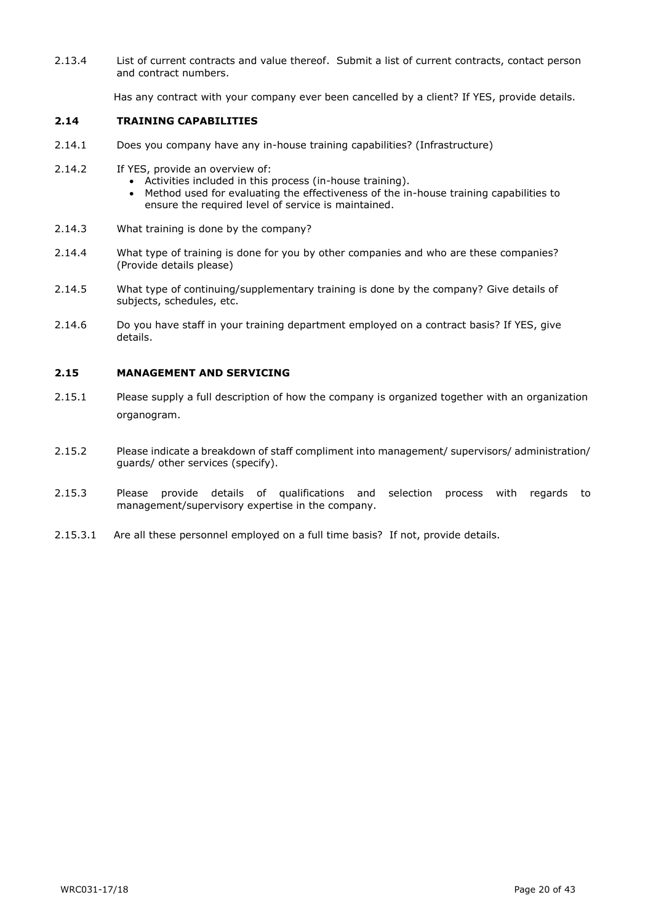2.13.4 List of current contracts and value thereof. Submit a list of current contracts, contact person and contract numbers.

Has any contract with your company ever been cancelled by a client? If YES, provide details.

#### **2.14 TRAINING CAPABILITIES**

- 2.14.1 Does you company have any in-house training capabilities? (Infrastructure)
- 2.14.2 If YES, provide an overview of:
	- Activities included in this process (in-house training).
	- Method used for evaluating the effectiveness of the in-house training capabilities to ensure the required level of service is maintained.
- 2.14.3 What training is done by the company?
- 2.14.4 What type of training is done for you by other companies and who are these companies? (Provide details please)
- 2.14.5 What type of continuing/supplementary training is done by the company? Give details of subjects, schedules, etc.
- 2.14.6 Do you have staff in your training department employed on a contract basis? If YES, give details.

#### **2.15 MANAGEMENT AND SERVICING**

- 2.15.1 Please supply a full description of how the company is organized together with an organization organogram.
- 2.15.2 Please indicate a breakdown of staff compliment into management/ supervisors/ administration/ guards/ other services (specify).
- 2.15.3 Please provide details of qualifications and selection process with regards to management/supervisory expertise in the company.
- 2.15.3.1 Are all these personnel employed on a full time basis? If not, provide details.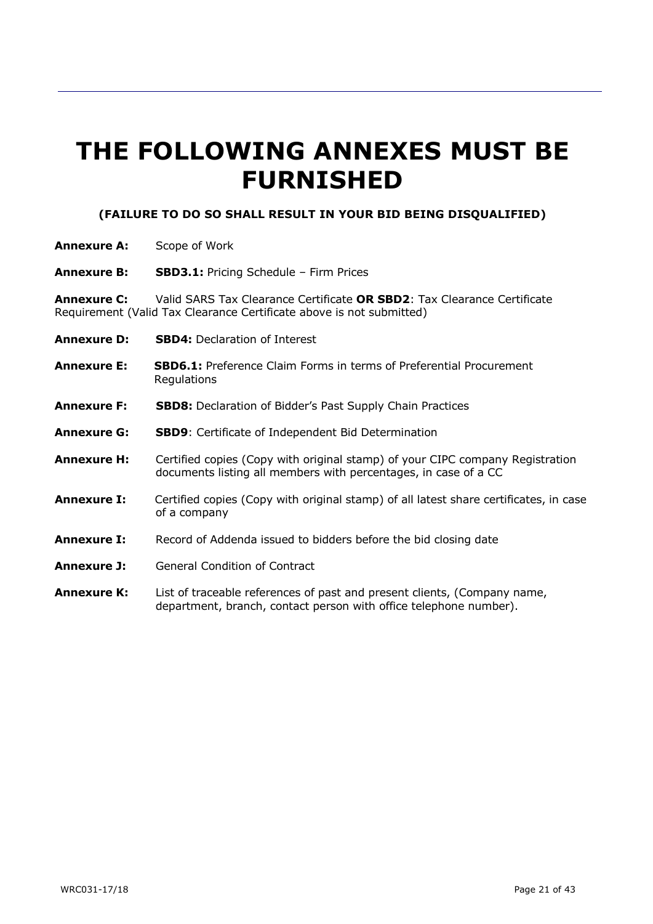# **THE FOLLOWING ANNEXES MUST BE FURNISHED**

## **(FAILURE TO DO SO SHALL RESULT IN YOUR BID BEING DISQUALIFIED)**

- **Annexure A:** Scope of Work
- **Annexure B: SBD3.1:** Pricing Schedule Firm Prices

**Annexure C:** Valid SARS Tax Clearance Certificate **OR SBD2**: Tax Clearance Certificate Requirement (Valid Tax Clearance Certificate above is not submitted)

- **Annexure D: SBD4:** Declaration of Interest
- **Annexure E: SBD6.1:** Preference Claim Forms in terms of Preferential Procurement **Regulations**
- **Annexure F: SBD8:** Declaration of Bidder's Past Supply Chain Practices
- **Annexure G: SBD9**: Certificate of Independent Bid Determination
- **Annexure H:** Certified copies (Copy with original stamp) of your CIPC company Registration documents listing all members with percentages, in case of a CC
- **Annexure I:** Certified copies (Copy with original stamp) of all latest share certificates, in case of a company
- **Annexure I:** Record of Addenda issued to bidders before the bid closing date
- **Annexure J:** General Condition of Contract
- **Annexure K:** List of traceable references of past and present clients, (Company name, department, branch, contact person with office telephone number).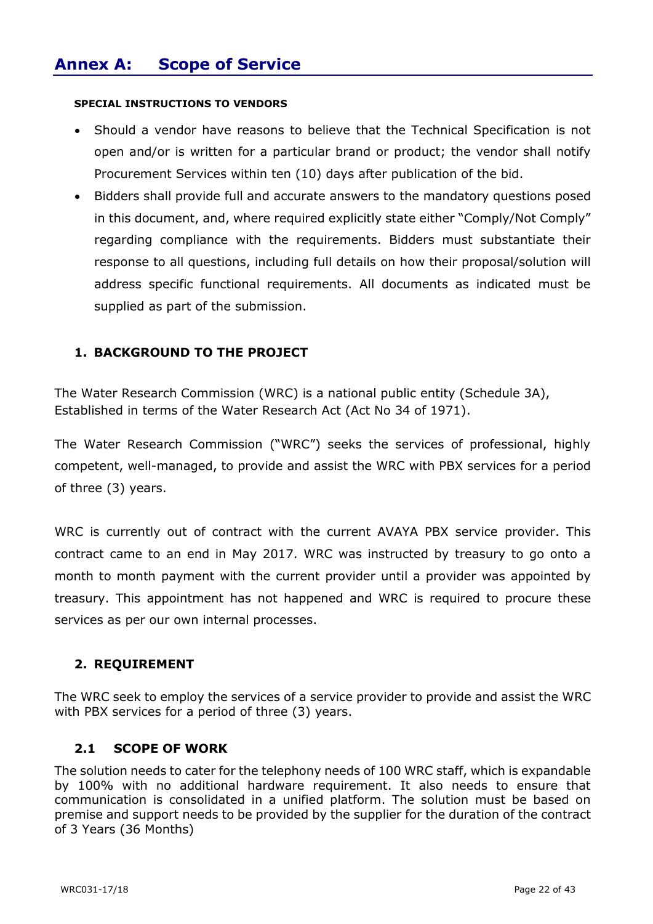## **SPECIAL INSTRUCTIONS TO VENDORS**

- Should a vendor have reasons to believe that the Technical Specification is not open and/or is written for a particular brand or product; the vendor shall notify Procurement Services within ten (10) days after publication of the bid.
- Bidders shall provide full and accurate answers to the mandatory questions posed in this document, and, where required explicitly state either "Comply/Not Comply" regarding compliance with the requirements. Bidders must substantiate their response to all questions, including full details on how their proposal/solution will address specific functional requirements. All documents as indicated must be supplied as part of the submission.

## **1. BACKGROUND TO THE PROJECT**

The Water Research Commission (WRC) is a national public entity (Schedule 3A), Established in terms of the Water Research Act (Act No 34 of 1971).

The Water Research Commission ("WRC") seeks the services of professional, highly competent, well-managed, to provide and assist the WRC with PBX services for a period of three (3) years.

WRC is currently out of contract with the current AVAYA PBX service provider. This contract came to an end in May 2017. WRC was instructed by treasury to go onto a month to month payment with the current provider until a provider was appointed by treasury. This appointment has not happened and WRC is required to procure these services as per our own internal processes.

## **2. REQUIREMENT**

The WRC seek to employ the services of a service provider to provide and assist the WRC with PBX services for a period of three (3) years.

## **2.1 SCOPE OF WORK**

The solution needs to cater for the telephony needs of 100 WRC staff, which is expandable by 100% with no additional hardware requirement. It also needs to ensure that communication is consolidated in a unified platform. The solution must be based on premise and support needs to be provided by the supplier for the duration of the contract of 3 Years (36 Months)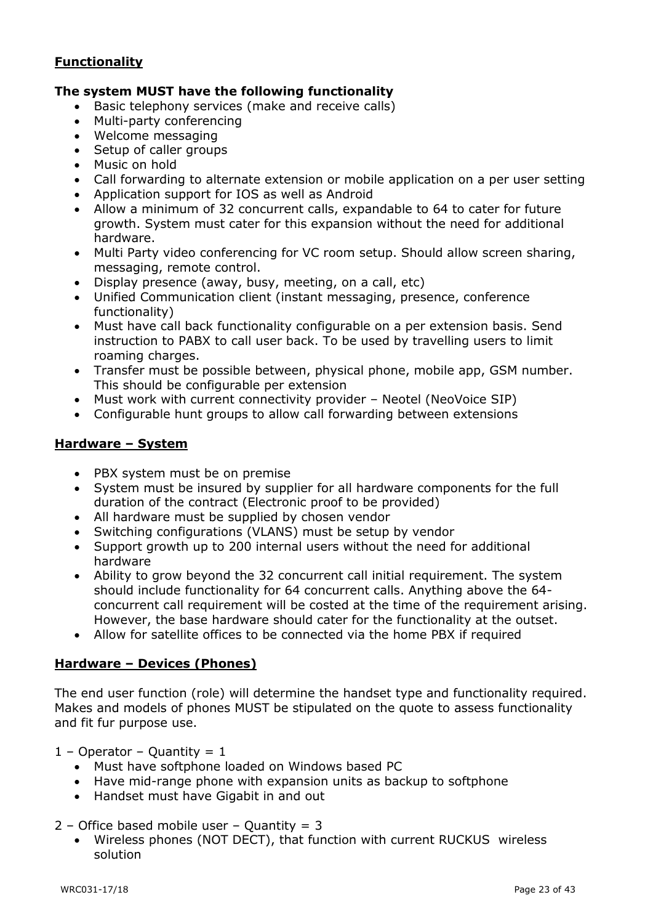## **Functionality**

## **The system MUST have the following functionality**

- Basic telephony services (make and receive calls)
- Multi-party conferencing
- Welcome messaging
- Setup of caller groups
- Music on hold
- Call forwarding to alternate extension or mobile application on a per user setting
- Application support for IOS as well as Android
- Allow a minimum of 32 concurrent calls, expandable to 64 to cater for future growth. System must cater for this expansion without the need for additional hardware.
- Multi Party video conferencing for VC room setup. Should allow screen sharing, messaging, remote control.
- Display presence (away, busy, meeting, on a call, etc)
- Unified Communication client (instant messaging, presence, conference functionality)
- Must have call back functionality configurable on a per extension basis. Send instruction to PABX to call user back. To be used by travelling users to limit roaming charges.
- Transfer must be possible between, physical phone, mobile app, GSM number. This should be configurable per extension
- Must work with current connectivity provider Neotel (NeoVoice SIP)
- Configurable hunt groups to allow call forwarding between extensions

## **Hardware – System**

- PBX system must be on premise
- System must be insured by supplier for all hardware components for the full duration of the contract (Electronic proof to be provided)
- All hardware must be supplied by chosen vendor
- Switching configurations (VLANS) must be setup by vendor
- Support growth up to 200 internal users without the need for additional hardware
- Ability to grow beyond the 32 concurrent call initial requirement. The system should include functionality for 64 concurrent calls. Anything above the 64 concurrent call requirement will be costed at the time of the requirement arising. However, the base hardware should cater for the functionality at the outset.
- Allow for satellite offices to be connected via the home PBX if required

## **Hardware – Devices (Phones)**

The end user function (role) will determine the handset type and functionality required. Makes and models of phones MUST be stipulated on the quote to assess functionality and fit fur purpose use.

 $1 -$  Operator – Quantity = 1

- Must have softphone loaded on Windows based PC
- Have mid-range phone with expansion units as backup to softphone
- Handset must have Gigabit in and out

 $2$  – Office based mobile user – Quantity = 3

 Wireless phones (NOT DECT), that function with current RUCKUS wireless solution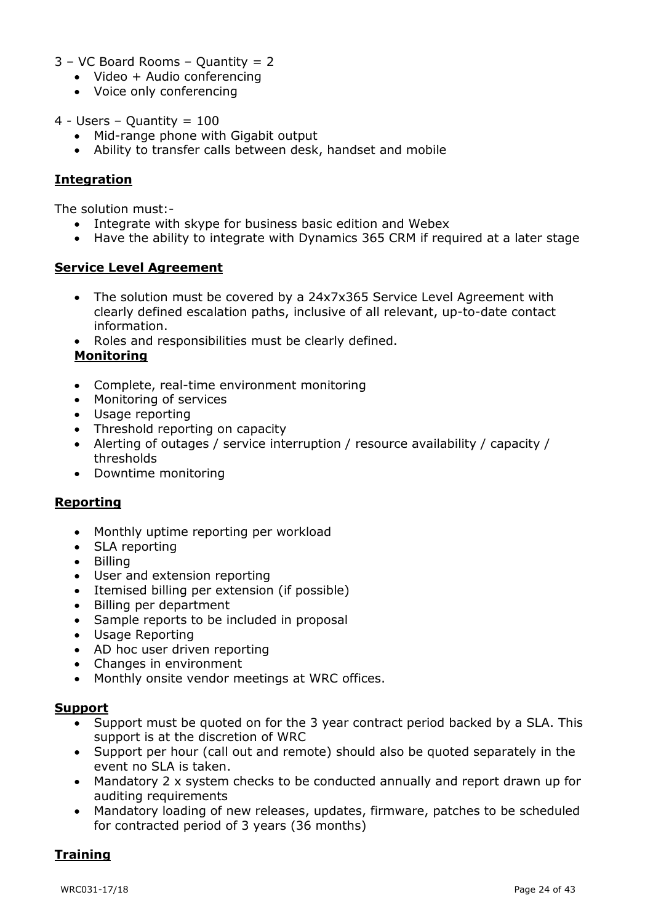- 3 VC Board Rooms Quantity = 2
	- Video + Audio conferencing
	- Voice only conferencing
- $4 -$  Users Quantity = 100
	- Mid-range phone with Gigabit output
	- Ability to transfer calls between desk, handset and mobile

## **Integration**

The solution must:-

- Integrate with skype for business basic edition and Webex
- Have the ability to integrate with Dynamics 365 CRM if required at a later stage

## **Service Level Agreement**

- The solution must be covered by a 24x7x365 Service Level Agreement with clearly defined escalation paths, inclusive of all relevant, up-to-date contact information.
- Roles and responsibilities must be clearly defined.

## **Monitoring**

- Complete, real-time environment monitoring
- Monitoring of services
- Usage reporting
- Threshold reporting on capacity
- Alerting of outages / service interruption / resource availability / capacity / thresholds
- Downtime monitoring

## **Reporting**

- Monthly uptime reporting per workload
- SLA reporting
- Billina
- User and extension reporting
- Itemised billing per extension (if possible)
- Billing per department
- Sample reports to be included in proposal
- Usage Reporting
- AD hoc user driven reporting
- Changes in environment
- Monthly onsite vendor meetings at WRC offices.

## **Support**

- Support must be quoted on for the 3 year contract period backed by a SLA. This support is at the discretion of WRC
- Support per hour (call out and remote) should also be quoted separately in the event no SLA is taken.
- Mandatory 2 x system checks to be conducted annually and report drawn up for auditing requirements
- Mandatory loading of new releases, updates, firmware, patches to be scheduled for contracted period of 3 years (36 months)

## **Training**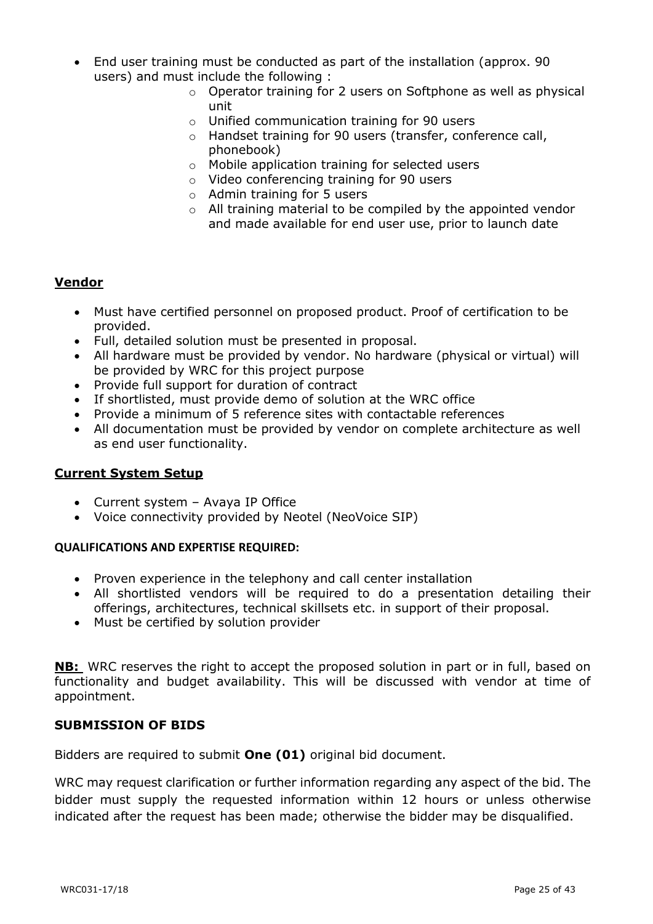- End user training must be conducted as part of the installation (approx. 90 users) and must include the following :
	- o Operator training for 2 users on Softphone as well as physical unit
	- o Unified communication training for 90 users
	- o Handset training for 90 users (transfer, conference call, phonebook)
	- o Mobile application training for selected users
	- o Video conferencing training for 90 users
	- o Admin training for 5 users
	- o All training material to be compiled by the appointed vendor and made available for end user use, prior to launch date

## **Vendor**

- Must have certified personnel on proposed product. Proof of certification to be provided.
- Full, detailed solution must be presented in proposal.
- All hardware must be provided by vendor. No hardware (physical or virtual) will be provided by WRC for this project purpose
- Provide full support for duration of contract
- If shortlisted, must provide demo of solution at the WRC office
- Provide a minimum of 5 reference sites with contactable references
- All documentation must be provided by vendor on complete architecture as well as end user functionality.

## **Current System Setup**

- Current system Avaya IP Office
- Voice connectivity provided by Neotel (NeoVoice SIP)

## **QUALIFICATIONS AND EXPERTISE REQUIRED:**

- Proven experience in the telephony and call center installation
- All shortlisted vendors will be required to do a presentation detailing their offerings, architectures, technical skillsets etc. in support of their proposal.
- Must be certified by solution provider

**NB:** WRC reserves the right to accept the proposed solution in part or in full, based on functionality and budget availability. This will be discussed with vendor at time of appointment.

## **SUBMISSION OF BIDS**

Bidders are required to submit **One (01)** original bid document.

WRC may request clarification or further information regarding any aspect of the bid. The bidder must supply the requested information within 12 hours or unless otherwise indicated after the request has been made; otherwise the bidder may be disqualified.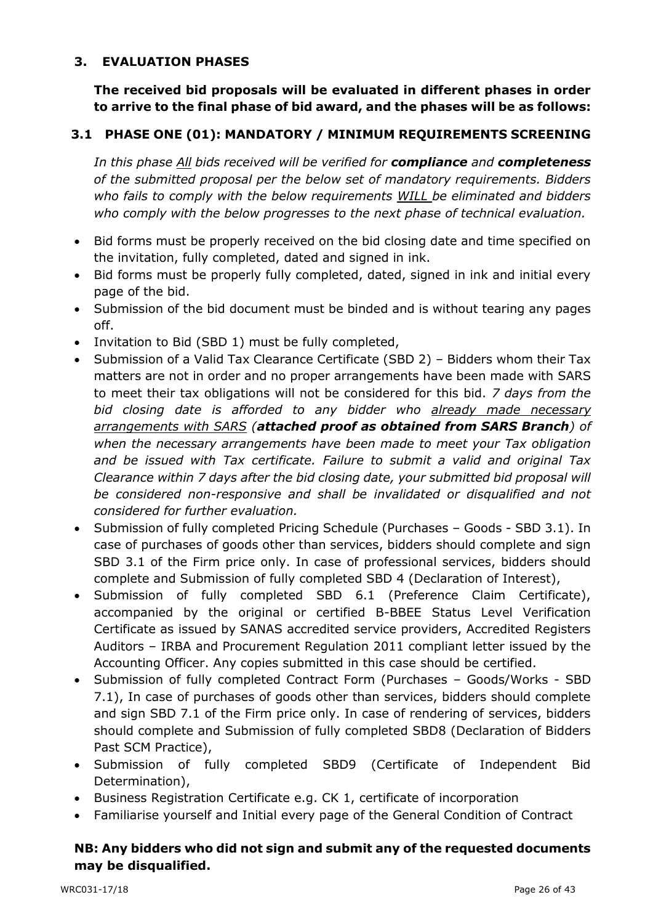## **3. EVALUATION PHASES**

**The received bid proposals will be evaluated in different phases in order to arrive to the final phase of bid award, and the phases will be as follows:**

## **3.1 PHASE ONE (01): MANDATORY / MINIMUM REQUIREMENTS SCREENING**

*In this phase All bids received will be verified for compliance and completeness of the submitted proposal per the below set of mandatory requirements. Bidders who fails to comply with the below requirements WILL be eliminated and bidders who comply with the below progresses to the next phase of technical evaluation.*

- Bid forms must be properly received on the bid closing date and time specified on the invitation, fully completed, dated and signed in ink.
- Bid forms must be properly fully completed, dated, signed in ink and initial every page of the bid.
- Submission of the bid document must be binded and is without tearing any pages off.
- Invitation to Bid (SBD 1) must be fully completed,
- Submission of a Valid Tax Clearance Certificate (SBD 2) Bidders whom their Tax matters are not in order and no proper arrangements have been made with SARS to meet their tax obligations will not be considered for this bid. *7 days from the bid closing date is afforded to any bidder who already made necessary arrangements with SARS (attached proof as obtained from SARS Branch) of when the necessary arrangements have been made to meet your Tax obligation and be issued with Tax certificate. Failure to submit a valid and original Tax Clearance within 7 days after the bid closing date, your submitted bid proposal will be considered non-responsive and shall be invalidated or disqualified and not considered for further evaluation.*
- Submission of fully completed Pricing Schedule (Purchases Goods SBD 3.1). In case of purchases of goods other than services, bidders should complete and sign SBD 3.1 of the Firm price only. In case of professional services, bidders should complete and Submission of fully completed SBD 4 (Declaration of Interest),
- Submission of fully completed SBD 6.1 (Preference Claim Certificate), accompanied by the original or certified B-BBEE Status Level Verification Certificate as issued by SANAS accredited service providers, Accredited Registers Auditors – IRBA and Procurement Regulation 2011 compliant letter issued by the Accounting Officer. Any copies submitted in this case should be certified.
- Submission of fully completed Contract Form (Purchases Goods/Works SBD 7.1), In case of purchases of goods other than services, bidders should complete and sign SBD 7.1 of the Firm price only. In case of rendering of services, bidders should complete and Submission of fully completed SBD8 (Declaration of Bidders Past SCM Practice),
- Submission of fully completed SBD9 (Certificate of Independent Bid Determination),
- Business Registration Certificate e.g. CK 1, certificate of incorporation
- Familiarise yourself and Initial every page of the General Condition of Contract

## **NB: Any bidders who did not sign and submit any of the requested documents may be disqualified.**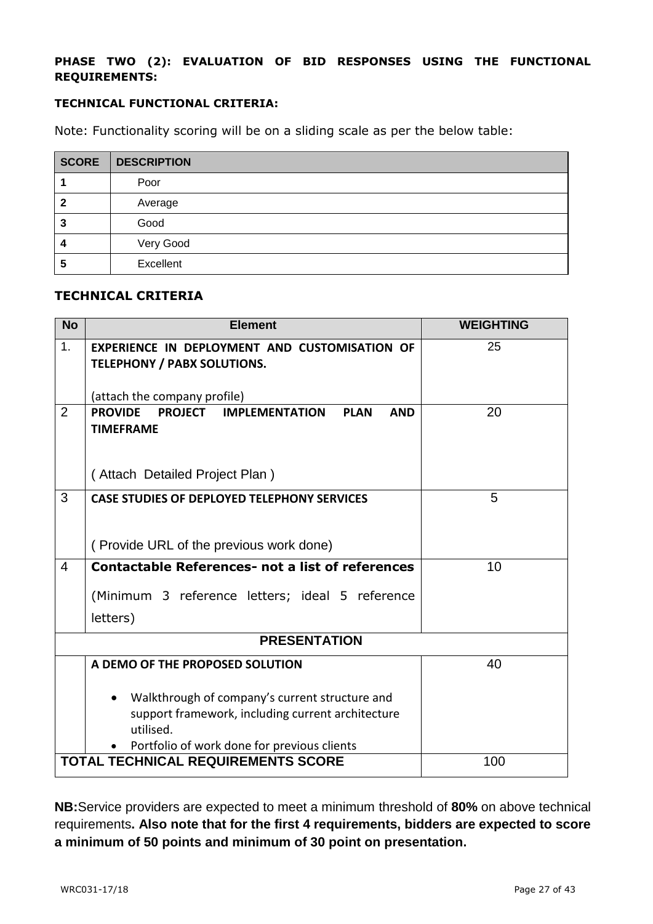## **PHASE TWO (2): EVALUATION OF BID RESPONSES USING THE FUNCTIONAL REQUIREMENTS:**

## **TECHNICAL FUNCTIONAL CRITERIA:**

Note: Functionality scoring will be on a sliding scale as per the below table:

| <b>SCORE</b> | <b>DESCRIPTION</b> |
|--------------|--------------------|
|              | Poor               |
| 2            | Average            |
| 3            | Good               |
| 4            | Very Good          |
| 5            | Excellent          |

## **TECHNICAL CRITERIA**

| <b>No</b>      | <b>Element</b>                                                        | <b>WEIGHTING</b> |
|----------------|-----------------------------------------------------------------------|------------------|
| 1.             | EXPERIENCE IN DEPLOYMENT AND CUSTOMISATION OF                         | 25               |
|                | <b>TELEPHONY / PABX SOLUTIONS.</b>                                    |                  |
|                | (attach the company profile)                                          |                  |
| $\overline{2}$ | <b>PROVIDE</b><br>PROJECT IMPLEMENTATION<br><b>PLAN</b><br><b>AND</b> | 20               |
|                | <b>TIMEFRAME</b>                                                      |                  |
|                |                                                                       |                  |
|                | (Attach Detailed Project Plan)                                        |                  |
| 3              | <b>CASE STUDIES OF DEPLOYED TELEPHONY SERVICES</b>                    | 5                |
|                |                                                                       |                  |
|                | (Provide URL of the previous work done)                               |                  |
| $\overline{4}$ | <b>Contactable References- not a list of references</b>               | 10               |
|                | (Minimum 3 reference letters; ideal 5 reference                       |                  |
|                | letters)                                                              |                  |
|                |                                                                       |                  |
|                | <b>PRESENTATION</b>                                                   |                  |
|                | A DEMO OF THE PROPOSED SOLUTION                                       | 40               |
|                |                                                                       |                  |
|                | Walkthrough of company's current structure and<br>$\bullet$           |                  |
|                | support framework, including current architecture<br>utilised.        |                  |
|                | Portfolio of work done for previous clients                           |                  |
|                | <b>TOTAL TECHNICAL REQUIREMENTS SCORE</b>                             | 100              |

**NB:**Service providers are expected to meet a minimum threshold of **80%** on above technical requirements**. Also note that for the first 4 requirements, bidders are expected to score a minimum of 50 points and minimum of 30 point on presentation.**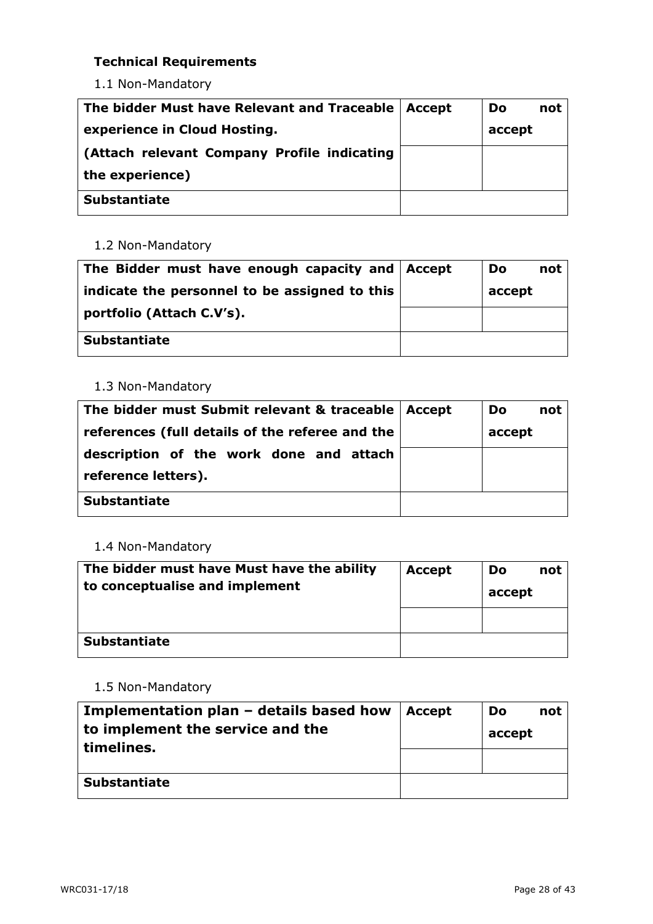## **Technical Requirements**

1.1 Non-Mandatory

| The bidder Must have Relevant and Traceable   Accept | <b>Do</b><br>not |
|------------------------------------------------------|------------------|
| experience in Cloud Hosting.                         | accept           |
| (Attach relevant Company Profile indicating          |                  |
| the experience)                                      |                  |
| <b>Substantiate</b>                                  |                  |

## 1.2 Non-Mandatory

| The Bidder must have enough capacity and   Accept | <b>Do</b> | not |
|---------------------------------------------------|-----------|-----|
| indicate the personnel to be assigned to this     | accept    |     |
| portfolio (Attach C.V's).                         |           |     |
| <b>Substantiate</b>                               |           |     |

## 1.3 Non-Mandatory

| The bidder must Submit relevant & traceable   Accept | Do     | not |
|------------------------------------------------------|--------|-----|
| references (full details of the referee and the      | accept |     |
| description of the work done and attach              |        |     |
| reference letters).                                  |        |     |
| <b>Substantiate</b>                                  |        |     |

## 1.4 Non-Mandatory

| The bidder must have Must have the ability<br>to conceptualise and implement | <b>Accept</b> | not<br>Do<br>accept |
|------------------------------------------------------------------------------|---------------|---------------------|
|                                                                              |               |                     |
| <b>Substantiate</b>                                                          |               |                     |

## 1.5 Non-Mandatory

| Implementation plan – details based how<br>to implement the service and the<br>timelines. | Accept | Do<br>not<br>accept |
|-------------------------------------------------------------------------------------------|--------|---------------------|
| <b>Substantiate</b>                                                                       |        |                     |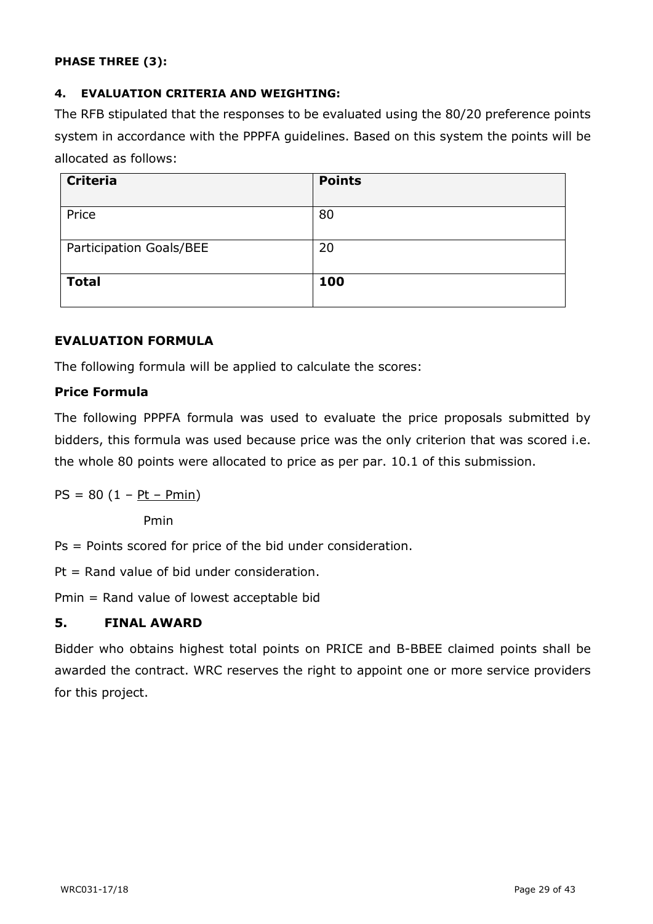## **PHASE THREE (3):**

## **4. EVALUATION CRITERIA AND WEIGHTING:**

The RFB stipulated that the responses to be evaluated using the 80/20 preference points system in accordance with the PPPFA guidelines. Based on this system the points will be allocated as follows:

| <b>Criteria</b>         | <b>Points</b> |
|-------------------------|---------------|
| Price                   | 80            |
| Participation Goals/BEE | 20            |
| <b>Total</b>            | 100           |

## **EVALUATION FORMULA**

The following formula will be applied to calculate the scores:

## **Price Formula**

The following PPPFA formula was used to evaluate the price proposals submitted by bidders, this formula was used because price was the only criterion that was scored i.e. the whole 80 points were allocated to price as per par. 10.1 of this submission.

$$
PS = 80 (1 - Pt - Pmin)
$$

Pmin

Ps = Points scored for price of the bid under consideration.

Pt = Rand value of bid under consideration.

Pmin = Rand value of lowest acceptable bid

## **5. FINAL AWARD**

Bidder who obtains highest total points on PRICE and B-BBEE claimed points shall be awarded the contract. WRC reserves the right to appoint one or more service providers for this project.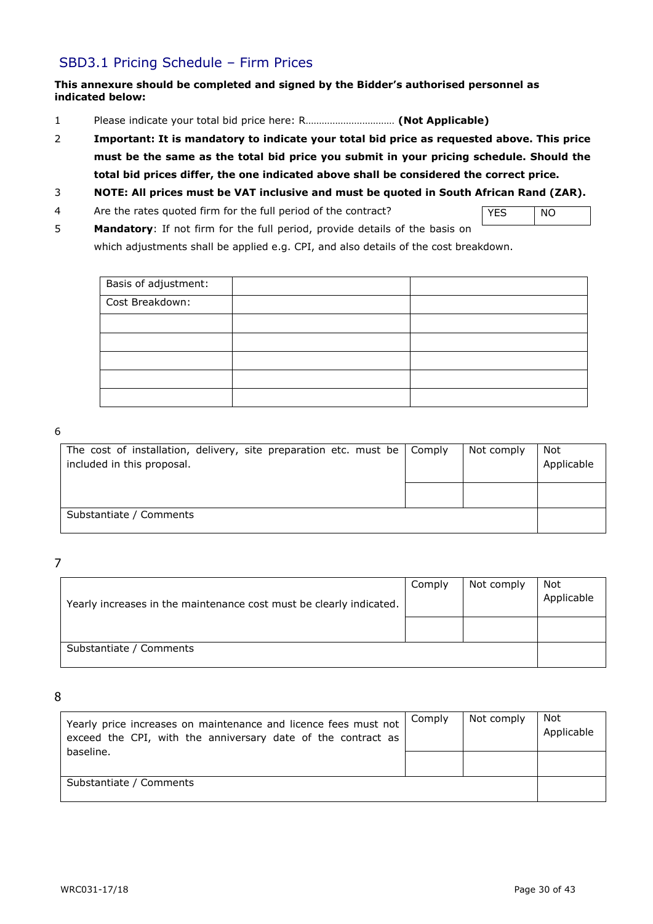## SBD3.1 Pricing Schedule – Firm Prices

#### **This annexure should be completed and signed by the Bidder's authorised personnel as indicated below:**

- 1 Please indicate your total bid price here: R…………………………… **(Not Applicable)**
- 2 **Important: It is mandatory to indicate your total bid price as requested above. This price must be the same as the total bid price you submit in your pricing schedule. Should the total bid prices differ, the one indicated above shall be considered the correct price.**
- 3 **NOTE: All prices must be VAT inclusive and must be quoted in South African Rand (ZAR).**
- 4 Are the rates quoted firm for the full period of the contract?
- YES NO
- 5 **Mandatory**: If not firm for the full period, provide details of the basis on which adjustments shall be applied e.g. CPI, and also details of the cost breakdown.

| Basis of adjustment: |  |
|----------------------|--|
| Cost Breakdown:      |  |
|                      |  |
|                      |  |
|                      |  |
|                      |  |
|                      |  |

#### 6

| The cost of installation, delivery, site preparation etc. must be $\vert$ Comply<br>included in this proposal. | Not comply | Not<br>Applicable |
|----------------------------------------------------------------------------------------------------------------|------------|-------------------|
|                                                                                                                |            |                   |
| Substantiate / Comments                                                                                        |            |                   |

7

| Yearly increases in the maintenance cost must be clearly indicated. | Comply | Not comply | Not<br>Applicable |
|---------------------------------------------------------------------|--------|------------|-------------------|
|                                                                     |        |            |                   |
| Substantiate / Comments                                             |        |            |                   |

8

| Yearly price increases on maintenance and licence fees must not<br>exceed the CPI, with the anniversary date of the contract as | Comply | Not comply | Not<br>Applicable |
|---------------------------------------------------------------------------------------------------------------------------------|--------|------------|-------------------|
| baseline.                                                                                                                       |        |            |                   |
| Substantiate / Comments                                                                                                         |        |            |                   |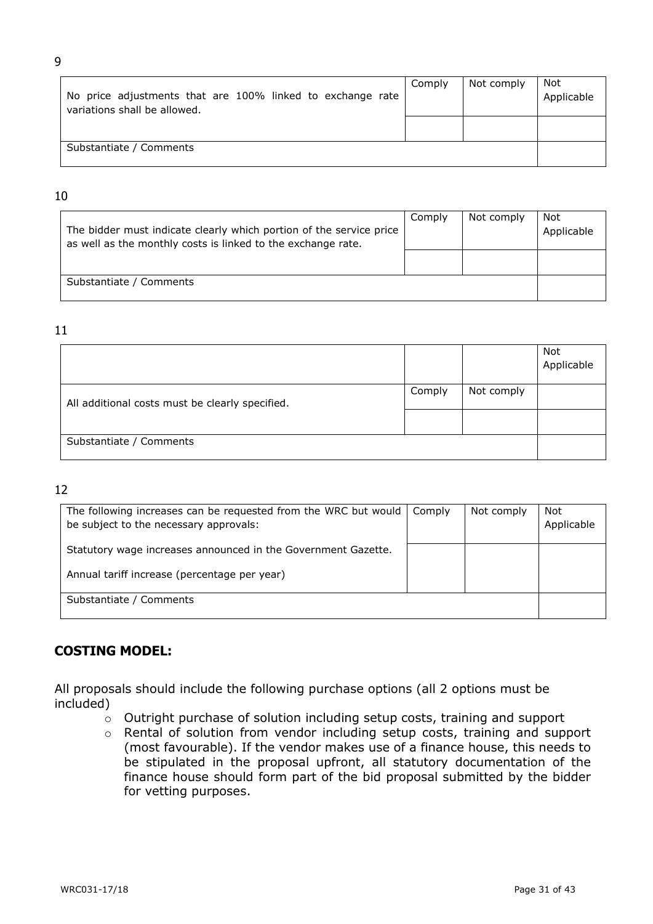| No price adjustments that are 100% linked to exchange rate<br>variations shall be allowed. | Comply | Not comply | Not<br>Applicable |
|--------------------------------------------------------------------------------------------|--------|------------|-------------------|
|                                                                                            |        |            |                   |
| Substantiate / Comments                                                                    |        |            |                   |

## 10

| The bidder must indicate clearly which portion of the service price<br>as well as the monthly costs is linked to the exchange rate. | Comply | Not comply | Not<br>Applicable |
|-------------------------------------------------------------------------------------------------------------------------------------|--------|------------|-------------------|
| Substantiate / Comments                                                                                                             |        |            |                   |

## 11

|                                                 |        |            | Not<br>Applicable |
|-------------------------------------------------|--------|------------|-------------------|
| All additional costs must be clearly specified. | Comply | Not comply |                   |
|                                                 |        |            |                   |
| Substantiate / Comments                         |        |            |                   |

## 12

| The following increases can be requested from the WRC but would $\vert$ Comply<br>be subject to the necessary approvals: | Not comply | Not<br>Applicable |
|--------------------------------------------------------------------------------------------------------------------------|------------|-------------------|
| Statutory wage increases announced in the Government Gazette.                                                            |            |                   |
| Annual tariff increase (percentage per year)                                                                             |            |                   |
| Substantiate / Comments                                                                                                  |            |                   |

## **COSTING MODEL:**

All proposals should include the following purchase options (all 2 options must be included)

- o Outright purchase of solution including setup costs, training and support
- o Rental of solution from vendor including setup costs, training and support (most favourable). If the vendor makes use of a finance house, this needs to be stipulated in the proposal upfront, all statutory documentation of the finance house should form part of the bid proposal submitted by the bidder for vetting purposes.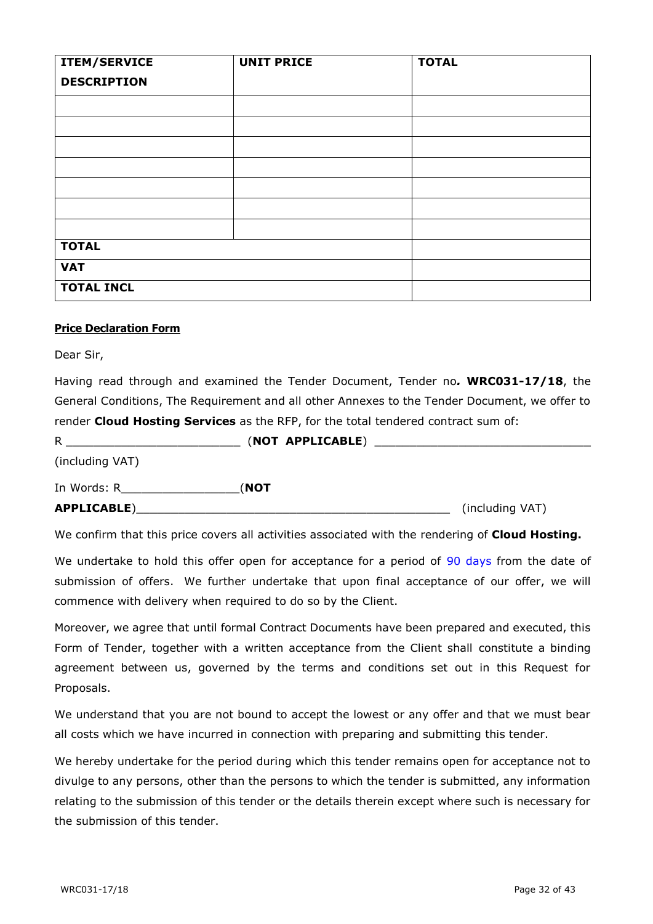| <b>ITEM/SERVICE</b> | <b>UNIT PRICE</b> | <b>TOTAL</b> |
|---------------------|-------------------|--------------|
| <b>DESCRIPTION</b>  |                   |              |
|                     |                   |              |
|                     |                   |              |
|                     |                   |              |
|                     |                   |              |
|                     |                   |              |
|                     |                   |              |
|                     |                   |              |
| <b>TOTAL</b>        |                   |              |
| <b>VAT</b>          |                   |              |
| <b>TOTAL INCL</b>   |                   |              |

## **Price Declaration Form**

Dear Sir,

Having read through and examined the Tender Document, Tender no*.* **WRC031-17/18**, the General Conditions, The Requirement and all other Annexes to the Tender Document, we offer to render **Cloud Hosting Services** as the RFP, for the total tendered contract sum of:

| R               | (NOT APPLICABLE) |                 |
|-----------------|------------------|-----------------|
| (including VAT) |                  |                 |
| In Words: R     | (NOT             |                 |
| APPLICABLE)     |                  | (including VAT) |

We confirm that this price covers all activities associated with the rendering of **Cloud Hosting.**

We undertake to hold this offer open for acceptance for a period of 90 days from the date of submission of offers. We further undertake that upon final acceptance of our offer, we will commence with delivery when required to do so by the Client.

Moreover, we agree that until formal Contract Documents have been prepared and executed, this Form of Tender, together with a written acceptance from the Client shall constitute a binding agreement between us, governed by the terms and conditions set out in this Request for Proposals.

We understand that you are not bound to accept the lowest or any offer and that we must bear all costs which we have incurred in connection with preparing and submitting this tender.

We hereby undertake for the period during which this tender remains open for acceptance not to divulge to any persons, other than the persons to which the tender is submitted, any information relating to the submission of this tender or the details therein except where such is necessary for the submission of this tender.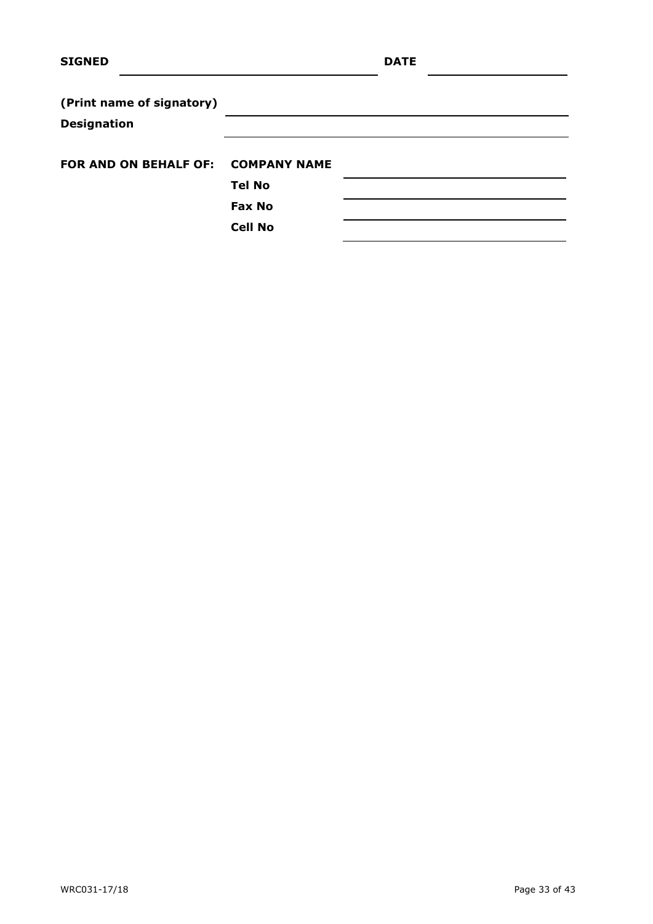| <b>SIGNED</b>                      |                | <b>DATE</b> |  |
|------------------------------------|----------------|-------------|--|
| (Print name of signatory)          |                |             |  |
| <b>Designation</b>                 |                |             |  |
| FOR AND ON BEHALF OF: COMPANY NAME |                |             |  |
|                                    | <b>Tel No</b>  |             |  |
|                                    | <b>Fax No</b>  |             |  |
|                                    | <b>Cell No</b> |             |  |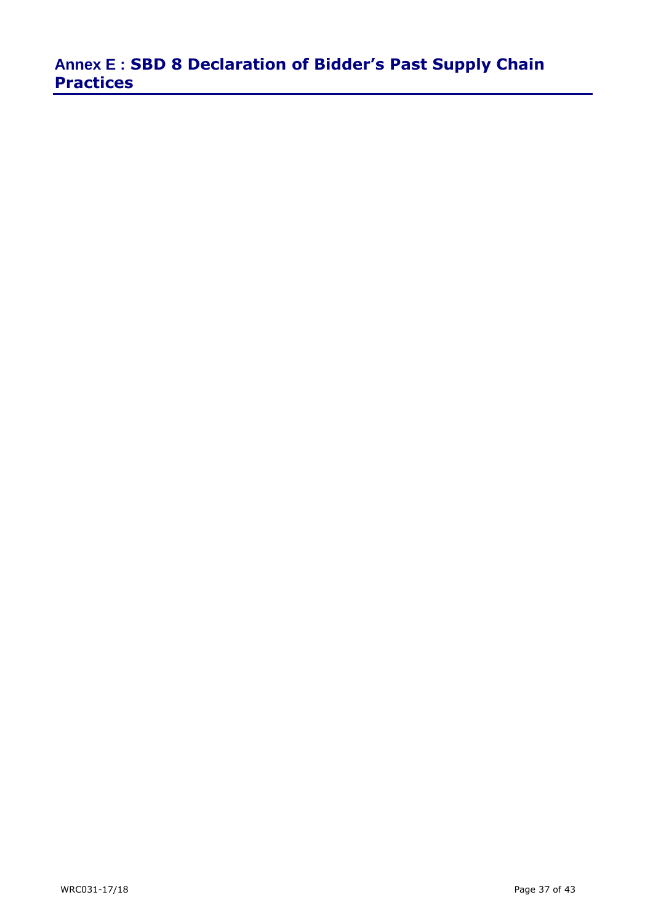# **Annex E : SBD 8 Declaration of Bidder's Past Supply Chain Practices**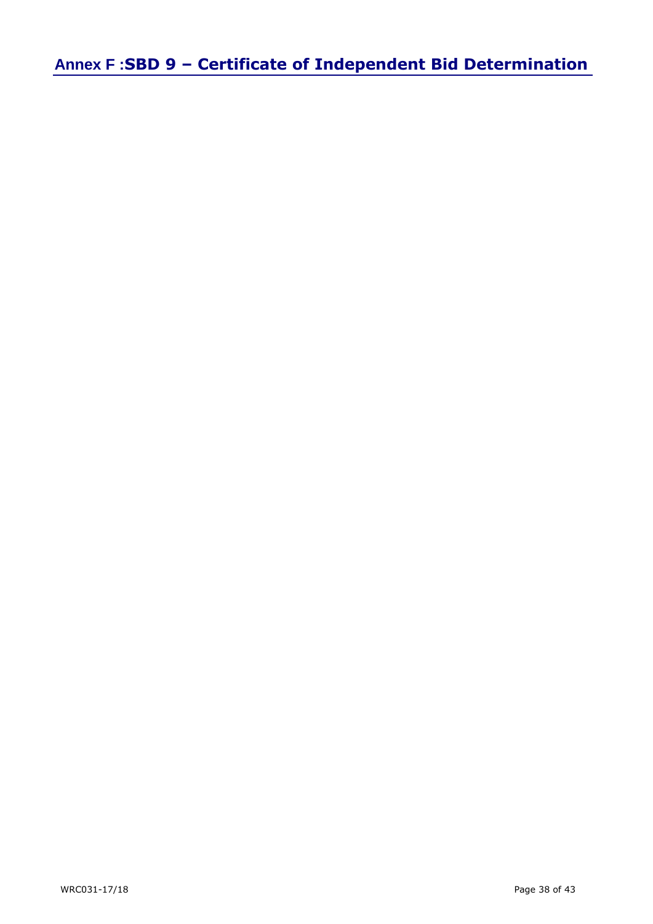**Annex F :SBD 9 – Certificate of Independent Bid Determination**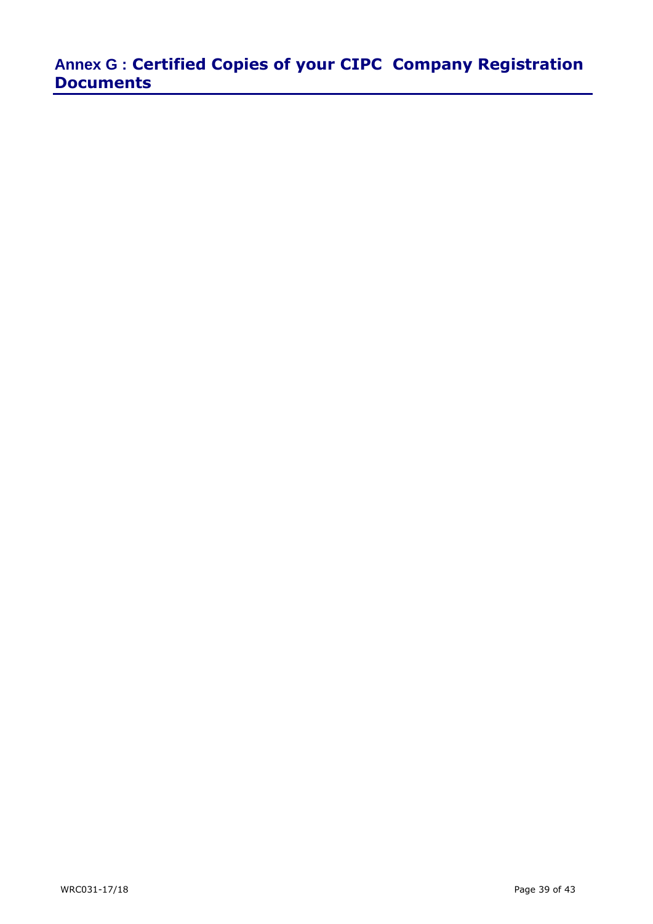# **Annex G : Certified Copies of your CIPC Company Registration Documents**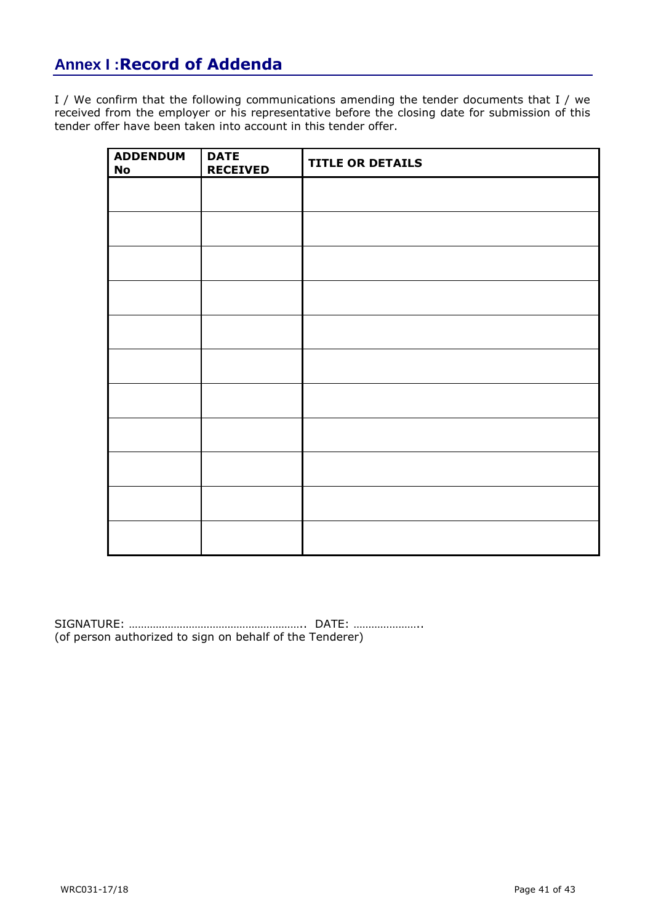# **Annex I :Record of Addenda**

I / We confirm that the following communications amending the tender documents that I / we received from the employer or his representative before the closing date for submission of this tender offer have been taken into account in this tender offer.

| <b>ADDENDUM</b><br><b>No</b> | <b>DATE</b><br><b>RECEIVED</b> | <b>TITLE OR DETAILS</b> |
|------------------------------|--------------------------------|-------------------------|
|                              |                                |                         |
|                              |                                |                         |
|                              |                                |                         |
|                              |                                |                         |
|                              |                                |                         |
|                              |                                |                         |
|                              |                                |                         |
|                              |                                |                         |
|                              |                                |                         |
|                              |                                |                         |
|                              |                                |                         |

SIGNATURE: ………………………………………………….. DATE: ………………….. (of person authorized to sign on behalf of the Tenderer)